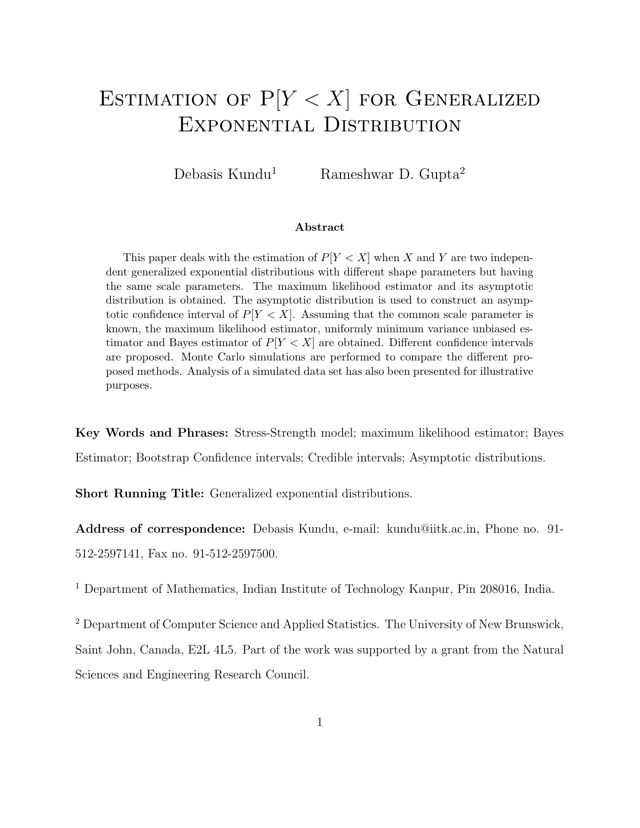# ESTIMATION OF  $P[Y < X]$  for GENERALIZED Exponential Distribution

Debasis Kundu<sup>1</sup> Rameshwar D. Gupta<sup>2</sup>

#### Abstract

This paper deals with the estimation of  $P[Y < X]$  when X and Y are two independent generalized exponential distributions with different shape parameters but having the same scale parameters. The maximum likelihood estimator and its asymptotic distribution is obtained. The asymptotic distribution is used to construct an asymptotic confidence interval of  $P[Y < X]$ . Assuming that the common scale parameter is known, the maximum likelihood estimator, uniformly minimum variance unbiased estimator and Bayes estimator of  $P[Y < X]$  are obtained. Different confidence intervals are proposed. Monte Carlo simulations are performed to compare the different proposed methods. Analysis of a simulated data set has also been presented for illustrative purposes.

Key Words and Phrases: Stress-Strength model; maximum likelihood estimator; Bayes Estimator; Bootstrap Confidence intervals; Credible intervals; Asymptotic distributions.

Short Running Title: Generalized exponential distributions.

Address of correspondence: Debasis Kundu, e-mail: kundu@iitk.ac.in, Phone no. 91- 512-2597141, Fax no. 91-512-2597500.

<sup>1</sup> Department of Mathematics, Indian Institute of Technology Kanpur, Pin 208016, India.

<sup>2</sup> Department of Computer Science and Applied Statistics. The University of New Brunswick, Saint John, Canada, E2L 4L5. Part of the work was supported by a grant from the Natural Sciences and Engineering Research Council.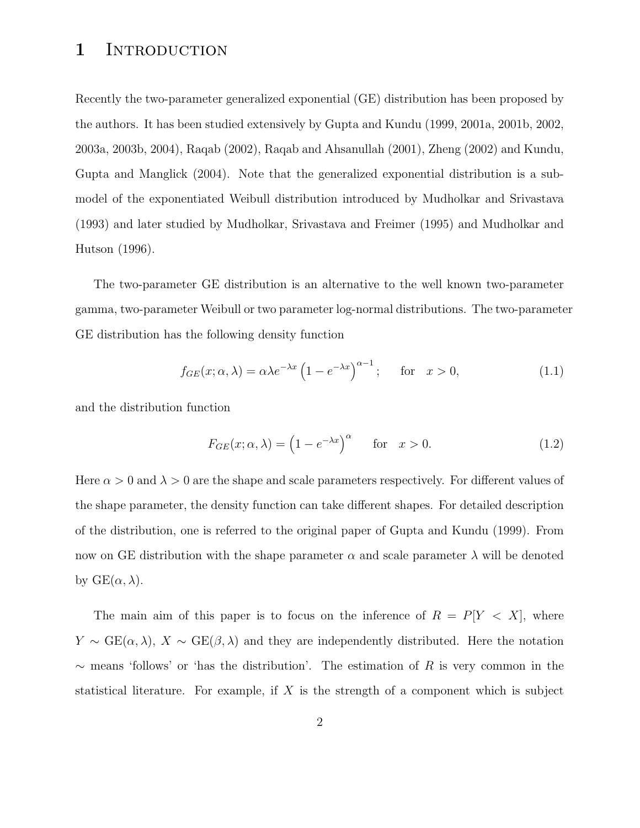## 1 INTRODUCTION

Recently the two-parameter generalized exponential (GE) distribution has been proposed by the authors. It has been studied extensively by Gupta and Kundu (1999, 2001a, 2001b, 2002, 2003a, 2003b, 2004), Raqab (2002), Raqab and Ahsanullah (2001), Zheng (2002) and Kundu, Gupta and Manglick (2004). Note that the generalized exponential distribution is a submodel of the exponentiated Weibull distribution introduced by Mudholkar and Srivastava (1993) and later studied by Mudholkar, Srivastava and Freimer (1995) and Mudholkar and Hutson (1996).

The two-parameter GE distribution is an alternative to the well known two-parameter gamma, two-parameter Weibull or two parameter log-normal distributions. The two-parameter GE distribution has the following density function

$$
f_{GE}(x; \alpha, \lambda) = \alpha \lambda e^{-\lambda x} \left(1 - e^{-\lambda x}\right)^{\alpha - 1}; \quad \text{for} \quad x > 0,
$$
 (1.1)

and the distribution function

$$
F_{GE}(x; \alpha, \lambda) = \left(1 - e^{-\lambda x}\right)^{\alpha} \quad \text{for} \quad x > 0. \tag{1.2}
$$

Here  $\alpha > 0$  and  $\lambda > 0$  are the shape and scale parameters respectively. For different values of the shape parameter, the density function can take different shapes. For detailed description of the distribution, one is referred to the original paper of Gupta and Kundu (1999). From now on GE distribution with the shape parameter  $\alpha$  and scale parameter  $\lambda$  will be denoted by  $GE(\alpha, \lambda)$ .

The main aim of this paper is to focus on the inference of  $R = P[Y \lt X]$ , where  $Y \sim \text{GE}(\alpha, \lambda)$ ,  $X \sim \text{GE}(\beta, \lambda)$  and they are independently distributed. Here the notation  $\sim$  means 'follows' or 'has the distribution'. The estimation of R is very common in the statistical literature. For example, if X is the strength of a component which is subject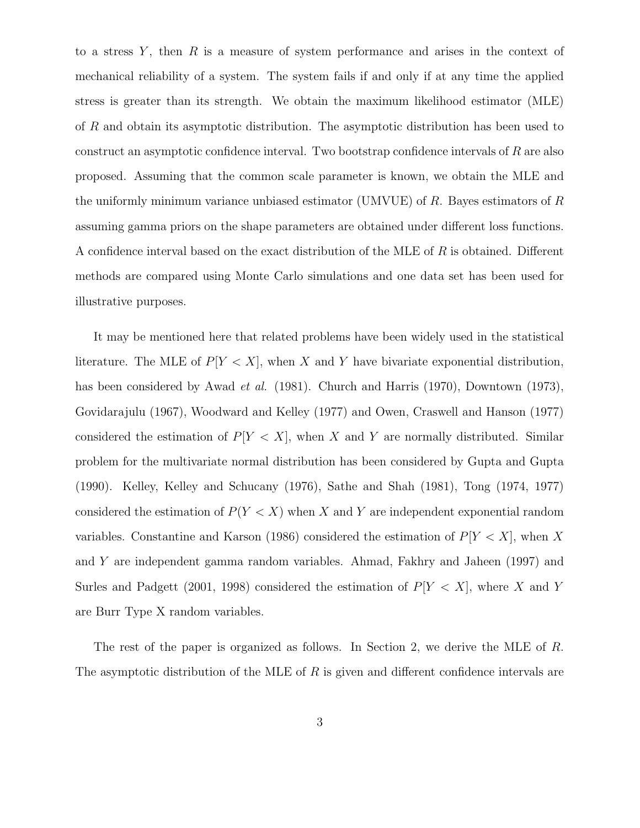to a stress  $Y$ , then  $R$  is a measure of system performance and arises in the context of mechanical reliability of a system. The system fails if and only if at any time the applied stress is greater than its strength. We obtain the maximum likelihood estimator (MLE) of R and obtain its asymptotic distribution. The asymptotic distribution has been used to construct an asymptotic confidence interval. Two bootstrap confidence intervals of R are also proposed. Assuming that the common scale parameter is known, we obtain the MLE and the uniformly minimum variance unbiased estimator (UMVUE) of R. Bayes estimators of R assuming gamma priors on the shape parameters are obtained under different loss functions. A confidence interval based on the exact distribution of the MLE of R is obtained. Different methods are compared using Monte Carlo simulations and one data set has been used for illustrative purposes.

It may be mentioned here that related problems have been widely used in the statistical literature. The MLE of  $P[Y < X]$ , when X and Y have bivariate exponential distribution, has been considered by Awad *et al.* (1981). Church and Harris (1970), Downtown (1973), Govidarajulu (1967), Woodward and Kelley (1977) and Owen, Craswell and Hanson (1977) considered the estimation of  $P[Y < X]$ , when X and Y are normally distributed. Similar problem for the multivariate normal distribution has been considered by Gupta and Gupta (1990). Kelley, Kelley and Schucany (1976), Sathe and Shah (1981), Tong (1974, 1977) considered the estimation of  $P(Y < X)$  when X and Y are independent exponential random variables. Constantine and Karson (1986) considered the estimation of  $P[Y < X]$ , when X and Y are independent gamma random variables. Ahmad, Fakhry and Jaheen (1997) and Surles and Padgett (2001, 1998) considered the estimation of  $P[Y < X]$ , where X and Y are Burr Type X random variables.

The rest of the paper is organized as follows. In Section 2, we derive the MLE of R. The asymptotic distribution of the MLE of  $R$  is given and different confidence intervals are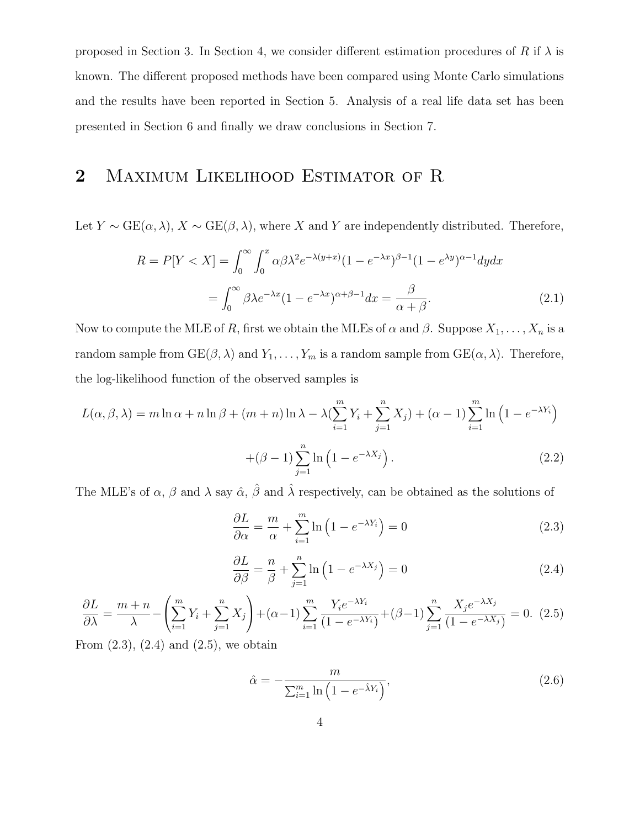proposed in Section 3. In Section 4, we consider different estimation procedures of R if  $\lambda$  is known. The different proposed methods have been compared using Monte Carlo simulations and the results have been reported in Section 5. Analysis of a real life data set has been presented in Section 6 and finally we draw conclusions in Section 7.

# 2 MAXIMUM LIKELIHOOD ESTIMATOR OF R

Let  $Y \sim \text{GE}(\alpha, \lambda)$ ,  $X \sim \text{GE}(\beta, \lambda)$ , where X and Y are independently distributed. Therefore,

$$
R = P[Y < X] = \int_0^\infty \int_0^x \alpha \beta \lambda^2 e^{-\lambda(y+x)} (1 - e^{-\lambda x})^{\beta - 1} (1 - e^{\lambda y})^{\alpha - 1} dy dx
$$

$$
= \int_0^\infty \beta \lambda e^{-\lambda x} (1 - e^{-\lambda x})^{\alpha + \beta - 1} dx = \frac{\beta}{\alpha + \beta}.
$$
(2.1)

Now to compute the MLE of R, first we obtain the MLEs of  $\alpha$  and  $\beta$ . Suppose  $X_1, \ldots, X_n$  is a random sample from  $GE(\beta, \lambda)$  and  $Y_1, \ldots, Y_m$  is a random sample from  $GE(\alpha, \lambda)$ . Therefore, the log-likelihood function of the observed samples is

$$
L(\alpha, \beta, \lambda) = m \ln \alpha + n \ln \beta + (m+n) \ln \lambda - \lambda \left( \sum_{i=1}^{m} Y_i + \sum_{j=1}^{n} X_j \right) + (\alpha - 1) \sum_{i=1}^{m} \ln \left( 1 - e^{-\lambda Y_i} \right)
$$

$$
+ (\beta - 1) \sum_{j=1}^{n} \ln \left( 1 - e^{-\lambda X_j} \right). \tag{2.2}
$$

The MLE's of  $\alpha$ ,  $\beta$  and  $\lambda$  say  $\hat{\alpha}$ ,  $\hat{\beta}$  and  $\hat{\lambda}$  respectively, can be obtained as the solutions of

$$
\frac{\partial L}{\partial \alpha} = \frac{m}{\alpha} + \sum_{i=1}^{m} \ln \left( 1 - e^{-\lambda Y_i} \right) = 0 \tag{2.3}
$$

$$
\frac{\partial L}{\partial \beta} = \frac{n}{\beta} + \sum_{j=1}^{n} \ln\left(1 - e^{-\lambda X_j}\right) = 0\tag{2.4}
$$

$$
\frac{\partial L}{\partial \lambda} = \frac{m+n}{\lambda} - \left(\sum_{i=1}^{m} Y_i + \sum_{j=1}^{n} X_j\right) + (\alpha - 1) \sum_{i=1}^{m} \frac{Y_i e^{-\lambda Y_i}}{(1 - e^{-\lambda Y_i})} + (\beta - 1) \sum_{j=1}^{n} \frac{X_j e^{-\lambda X_j}}{(1 - e^{-\lambda X_j})} = 0. \tag{2.5}
$$

From  $(2.3)$ ,  $(2.4)$  and  $(2.5)$ , we obtain

$$
\hat{\alpha} = -\frac{m}{\sum_{i=1}^{m} \ln\left(1 - e^{-\hat{\lambda}Y_i}\right)},\tag{2.6}
$$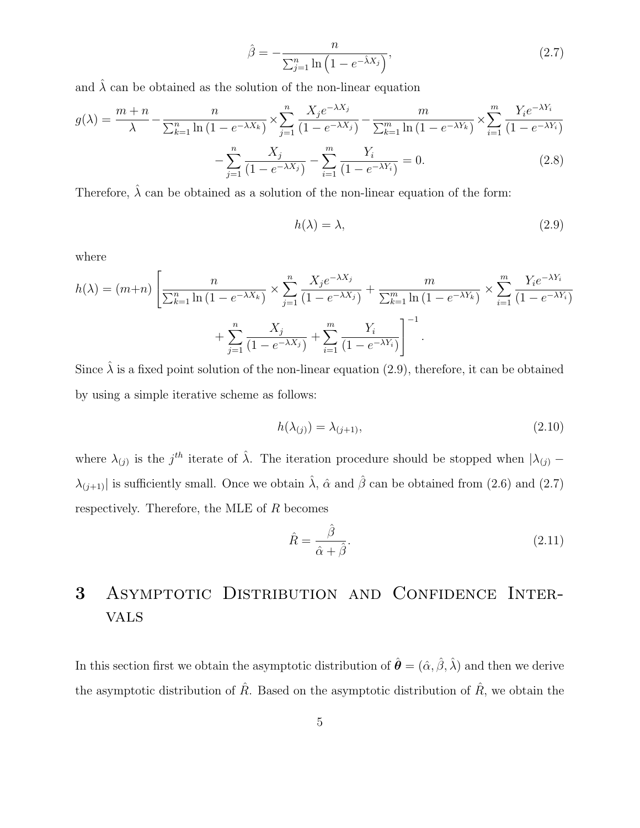$$
\hat{\beta} = -\frac{n}{\sum_{j=1}^{n} \ln\left(1 - e^{-\hat{\lambda}X_j}\right)},\tag{2.7}
$$

and  $\hat{\lambda}$  can be obtained as the solution of the non-linear equation

$$
g(\lambda) = \frac{m+n}{\lambda} - \frac{n}{\sum_{k=1}^{n} \ln(1 - e^{-\lambda X_k})} \times \sum_{j=1}^{n} \frac{X_j e^{-\lambda X_j}}{(1 - e^{-\lambda X_j})} - \frac{m}{\sum_{k=1}^{m} \ln(1 - e^{-\lambda Y_k})} \times \sum_{i=1}^{m} \frac{Y_i e^{-\lambda Y_i}}{(1 - e^{-\lambda Y_i})}
$$

$$
- \sum_{k=1}^{n} \frac{X_j}{\sum_{k=1}^{m} \ln(1 - e^{-\lambda Y_k})} = 0. \tag{2.8}
$$

$$
-\sum_{j=1}^{\infty} \frac{A_j}{(1 - e^{-\lambda X_j})} - \sum_{i=1}^{\infty} \frac{Y_i}{(1 - e^{-\lambda Y_i})} = 0.
$$
 (2.8)

Therefore,  $\hat{\lambda}$  can be obtained as a solution of the non-linear equation of the form:

$$
h(\lambda) = \lambda,\tag{2.9}
$$

where

$$
h(\lambda) = (m+n) \left[ \frac{n}{\sum_{k=1}^{n} \ln(1 - e^{-\lambda X_k})} \times \sum_{j=1}^{n} \frac{X_j e^{-\lambda X_j}}{(1 - e^{-\lambda X_j})} + \frac{m}{\sum_{k=1}^{m} \ln(1 - e^{-\lambda Y_k})} \times \sum_{i=1}^{m} \frac{Y_i e^{-\lambda Y_i}}{(1 - e^{-\lambda Y_i})} + \sum_{j=1}^{n} \frac{X_j}{(1 - e^{-\lambda Y_j})} + \sum_{i=1}^{m} \frac{Y_i}{(1 - e^{-\lambda Y_i})} \right]^{-1}.
$$

Since  $\hat{\lambda}$  is a fixed point solution of the non-linear equation (2.9), therefore, it can be obtained by using a simple iterative scheme as follows:

$$
h(\lambda_{(j)}) = \lambda_{(j+1)},\tag{2.10}
$$

where  $\lambda_{(j)}$  is the j<sup>th</sup> iterate of  $\hat{\lambda}$ . The iteration procedure should be stopped when  $|\lambda_{(j)} - \lambda_{(j)}|$  $\lambda_{(j+1)}$  is sufficiently small. Once we obtain  $\hat{\lambda}$ ,  $\hat{\alpha}$  and  $\hat{\beta}$  can be obtained from (2.6) and (2.7) respectively. Therefore, the MLE of  $R$  becomes

$$
\hat{R} = \frac{\hat{\beta}}{\hat{\alpha} + \hat{\beta}}.\tag{2.11}
$$

# 3 Asymptotic Distribution and Confidence Intervals

In this section first we obtain the asymptotic distribution of  $\hat{\boldsymbol{\theta}} = (\hat{\alpha}, \hat{\beta}, \hat{\lambda})$  and then we derive the asymptotic distribution of  $\hat{R}$ . Based on the asymptotic distribution of  $\hat{R}$ , we obtain the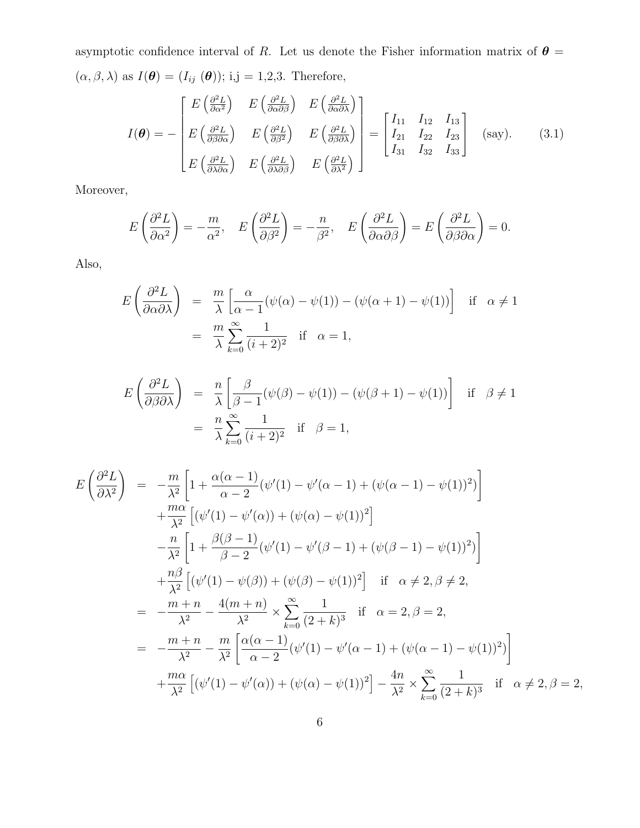asymptotic confidence interval of R. Let us denote the Fisher information matrix of  $\theta =$  $(\alpha, \beta, \lambda)$  as  $I(\theta) = (I_{ij}(\theta))$ ; i,j = 1,2,3. Therefore,

$$
I(\boldsymbol{\theta}) = -\begin{bmatrix} E\left(\frac{\partial^2 L}{\partial \alpha^2}\right) & E\left(\frac{\partial^2 L}{\partial \alpha \partial \beta}\right) & E\left(\frac{\partial^2 L}{\partial \alpha \partial \lambda}\right) \\ E\left(\frac{\partial^2 L}{\partial \beta \partial \alpha}\right) & E\left(\frac{\partial^2 L}{\partial \beta^2}\right) & E\left(\frac{\partial^2 L}{\partial \beta \partial \lambda}\right) \\ E\left(\frac{\partial^2 L}{\partial \lambda \partial \alpha}\right) & E\left(\frac{\partial^2 L}{\partial \lambda \partial \beta}\right) & E\left(\frac{\partial^2 L}{\partial \lambda^2}\right) \end{bmatrix} = \begin{bmatrix} I_{11} & I_{12} & I_{13} \\ I_{21} & I_{22} & I_{23} \\ I_{31} & I_{32} & I_{33} \end{bmatrix}
$$
 (say). (3.1)

Moreover,

$$
E\left(\frac{\partial^2 L}{\partial \alpha^2}\right) = -\frac{m}{\alpha^2}, \quad E\left(\frac{\partial^2 L}{\partial \beta^2}\right) = -\frac{n}{\beta^2}, \quad E\left(\frac{\partial^2 L}{\partial \alpha \partial \beta}\right) = E\left(\frac{\partial^2 L}{\partial \beta \partial \alpha}\right) = 0.
$$

Also,

$$
E\left(\frac{\partial^2 L}{\partial \alpha \partial \lambda}\right) = \frac{m}{\lambda} \left[ \frac{\alpha}{\alpha - 1} (\psi(\alpha) - \psi(1)) - (\psi(\alpha + 1) - \psi(1)) \right] \text{ if } \alpha \neq 1
$$

$$
= \frac{m}{\lambda} \sum_{k=0}^{\infty} \frac{1}{(i+2)^2} \text{ if } \alpha = 1,
$$

$$
E\left(\frac{\partial^2 L}{\partial \beta \partial \lambda}\right) = \frac{n}{\lambda} \left[ \frac{\beta}{\beta - 1} (\psi(\beta) - \psi(1)) - (\psi(\beta + 1) - \psi(1)) \right] \text{ if } \beta \neq 1
$$
  
=  $\frac{n}{\lambda} \sum_{k=0}^{\infty} \frac{1}{(i+2)^2} \text{ if } \beta = 1,$ 

$$
E\left(\frac{\partial^2 L}{\partial \lambda^2}\right) = -\frac{m}{\lambda^2} \left[1 + \frac{\alpha(\alpha - 1)}{\alpha - 2} (\psi'(1) - \psi'(\alpha - 1) + (\psi(\alpha - 1) - \psi(1))^2)\right] + \frac{m\alpha}{\lambda^2} \left[ (\psi'(1) - \psi'(\alpha)) + (\psi(\alpha) - \psi(1))^2 \right] - \frac{n}{\lambda^2} \left[1 + \frac{\beta(\beta - 1)}{\beta - 2} (\psi'(1) - \psi'(\beta - 1) + (\psi(\beta - 1) - \psi(1))^2)\right] + \frac{n\beta}{\lambda^2} \left[ (\psi'(1) - \psi(\beta)) + (\psi(\beta) - \psi(1))^2 \right] \text{ if } \alpha \neq 2, \beta \neq 2, = -\frac{m + n}{\lambda^2} - \frac{4(m + n)}{\lambda^2} \times \sum_{k=0}^{\infty} \frac{1}{(2 + k)^3} \text{ if } \alpha = 2, \beta = 2, = -\frac{m + n}{\lambda^2} - \frac{m}{\lambda^2} \left[ \frac{\alpha(\alpha - 1)}{\alpha - 2} (\psi'(1) - \psi'(\alpha - 1) + (\psi(\alpha - 1) - \psi(1))^2) \right] + \frac{m\alpha}{\lambda^2} \left[ (\psi'(1) - \psi'(\alpha)) + (\psi(\alpha) - \psi(1))^2 \right] - \frac{4n}{\lambda^2} \times \sum_{k=0}^{\infty} \frac{1}{(2 + k)^3} \text{ if } \alpha \neq 2, \beta = 2,
$$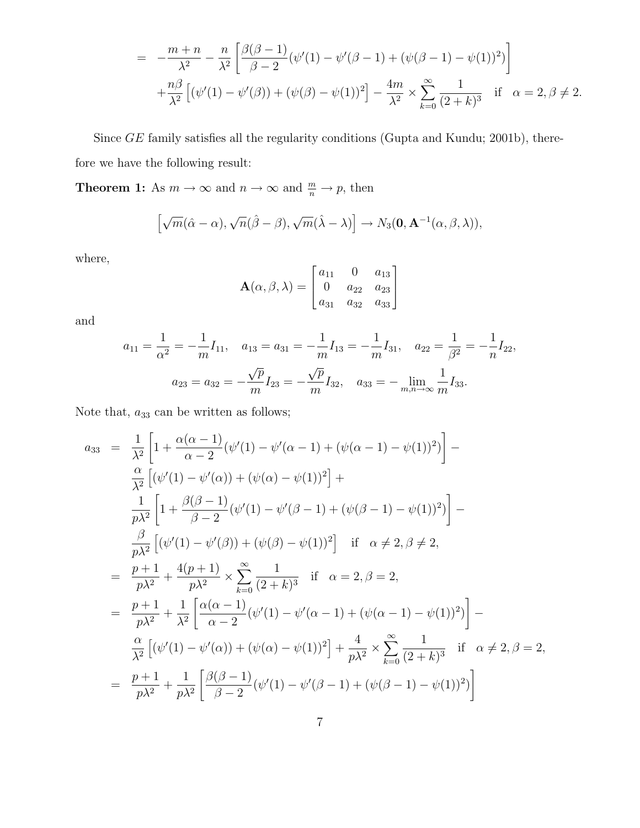$$
= -\frac{m+n}{\lambda^2} - \frac{n}{\lambda^2} \left[ \frac{\beta(\beta-1)}{\beta-2} (\psi'(1) - \psi'(\beta-1) + (\psi(\beta-1) - \psi(1))^2) \right] + \frac{n\beta}{\lambda^2} \left[ (\psi'(1) - \psi'(\beta)) + (\psi(\beta) - \psi(1))^2 \right] - \frac{4m}{\lambda^2} \times \sum_{k=0}^{\infty} \frac{1}{(2+k)^3} \quad \text{if} \quad \alpha = 2, \beta \neq 2.
$$

Since GE family satisfies all the regularity conditions (Gupta and Kundu; 2001b), therefore we have the following result:

**Theorem 1:** As  $m \to \infty$  and  $n \to \infty$  and  $\frac{m}{n} \to p$ , then

$$
\left[\sqrt{m}(\hat{\alpha}-\alpha),\sqrt{n}(\hat{\beta}-\beta),\sqrt{m}(\hat{\lambda}-\lambda)\right]\to N_3(\mathbf{0},\mathbf{A}^{-1}(\alpha,\beta,\lambda)),
$$

where,

$$
\mathbf{A}(\alpha, \beta, \lambda) = \begin{bmatrix} a_{11} & 0 & a_{13} \\ 0 & a_{22} & a_{23} \\ a_{31} & a_{32} & a_{33} \end{bmatrix}
$$

and

$$
a_{11} = \frac{1}{\alpha^2} = -\frac{1}{m} I_{11}, \quad a_{13} = a_{31} = -\frac{1}{m} I_{13} = -\frac{1}{m} I_{31}, \quad a_{22} = \frac{1}{\beta^2} = -\frac{1}{n} I_{22},
$$

$$
a_{23} = a_{32} = -\frac{\sqrt{p}}{m} I_{23} = -\frac{\sqrt{p}}{m} I_{32}, \quad a_{33} = -\lim_{m,n \to \infty} \frac{1}{m} I_{33}.
$$

Note that,  $a_{33}$  can be written as follows;

$$
a_{33} = \frac{1}{\lambda^2} \left[ 1 + \frac{\alpha(\alpha - 1)}{\alpha - 2} (\psi'(1) - \psi'(\alpha - 1) + (\psi(\alpha - 1) - \psi(1))^2 \right] - \frac{\alpha}{\lambda^2} \left[ (\psi'(1) - \psi'(\alpha)) + (\psi(\alpha) - \psi(1))^2 \right] + \frac{1}{p\lambda^2} \left[ 1 + \frac{\beta(\beta - 1)}{\beta - 2} (\psi'(1) - \psi'(\beta - 1) + (\psi(\beta - 1) - \psi(1))^2 \right] - \frac{\beta}{p\lambda^2} \left[ (\psi'(1) - \psi'(\beta)) + (\psi(\beta) - \psi(1))^2 \right] \text{ if } \alpha \neq 2, \beta \neq 2,
$$
  
\n
$$
= \frac{p+1}{p\lambda^2} + \frac{4(p+1)}{p\lambda^2} \times \sum_{k=0}^{\infty} \frac{1}{(2+k)^3} \text{ if } \alpha = 2, \beta = 2,
$$
  
\n
$$
= \frac{p+1}{p\lambda^2} + \frac{1}{\lambda^2} \left[ \frac{\alpha(\alpha - 1)}{\alpha - 2} (\psi'(1) - \psi'(\alpha - 1) + (\psi(\alpha - 1) - \psi(1))^2 \right] - \frac{\alpha}{\lambda^2} \left[ (\psi'(1) - \psi'(\alpha)) + (\psi(\alpha) - \psi(1))^2 \right] + \frac{4}{p\lambda^2} \times \sum_{k=0}^{\infty} \frac{1}{(2+k)^3} \text{ if } \alpha \neq 2, \beta = 2,
$$
  
\n
$$
= \frac{p+1}{p\lambda^2} + \frac{1}{p\lambda^2} \left[ \frac{\beta(\beta - 1)}{\beta - 2} (\psi'(1) - \psi'(\beta - 1) + (\psi(\beta - 1) - \psi(1))^2 \right]
$$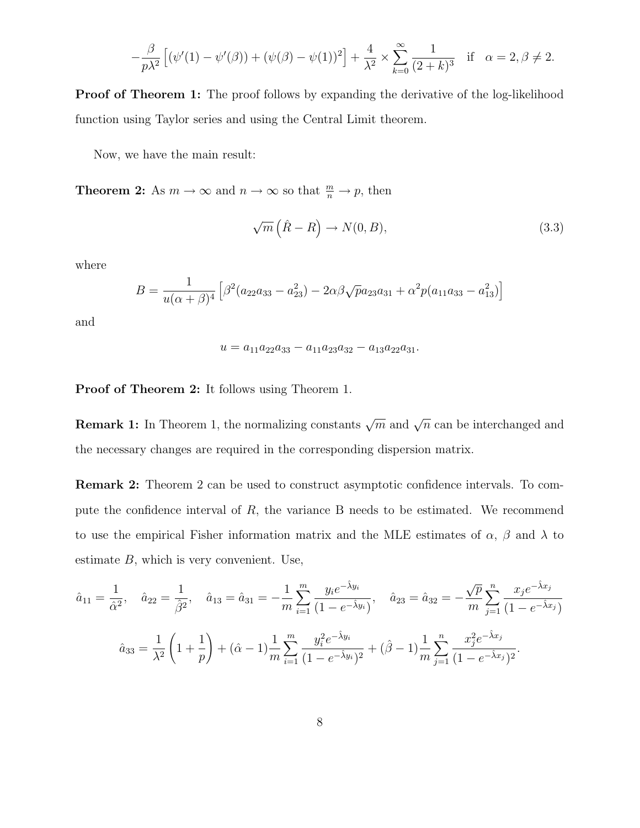$$
-\frac{\beta}{p\lambda^2} \left[ (\psi'(1) - \psi'(\beta)) + (\psi(\beta) - \psi(1))^2 \right] + \frac{4}{\lambda^2} \times \sum_{k=0}^{\infty} \frac{1}{(2+k)^3} \quad \text{if} \quad \alpha = 2, \beta \neq 2.
$$

**Proof of Theorem 1:** The proof follows by expanding the derivative of the log-likelihood function using Taylor series and using the Central Limit theorem.

Now, we have the main result:

**Theorem 2:** As  $m \to \infty$  and  $n \to \infty$  so that  $\frac{m}{n} \to p$ , then

$$
\sqrt{m}\left(\hat{R}-R\right) \to N(0,B),\tag{3.3}
$$

where

$$
B = \frac{1}{u(\alpha + \beta)^4} \left[ \beta^2 (a_{22}a_{33} - a_{23}^2) - 2\alpha\beta\sqrt{p}a_{23}a_{31} + \alpha^2 p(a_{11}a_{33} - a_{13}^2) \right]
$$

and

$$
u = a_{11}a_{22}a_{33} - a_{11}a_{23}a_{32} - a_{13}a_{22}a_{31}.
$$

Proof of Theorem 2: It follows using Theorem 1.

**Remark 1:** In Theorem 1, the normalizing constants  $\sqrt{m}$  and  $\sqrt{n}$  can be interchanged and the necessary changes are required in the corresponding dispersion matrix.

Remark 2: Theorem 2 can be used to construct asymptotic confidence intervals. To compute the confidence interval of  $R$ , the variance  $B$  needs to be estimated. We recommend to use the empirical Fisher information matrix and the MLE estimates of  $\alpha$ ,  $\beta$  and  $\lambda$  to estimate  $B$ , which is very convenient. Use,

$$
\hat{a}_{11} = \frac{1}{\hat{\alpha}^2}, \quad \hat{a}_{22} = \frac{1}{\hat{\beta}^2}, \quad \hat{a}_{13} = \hat{a}_{31} = -\frac{1}{m} \sum_{i=1}^m \frac{y_i e^{-\hat{\lambda} y_i}}{(1 - e^{-\hat{\lambda} y_i})}, \quad \hat{a}_{23} = \hat{a}_{32} = -\frac{\sqrt{p}}{m} \sum_{j=1}^n \frac{x_j e^{-\hat{\lambda} x_j}}{(1 - e^{-\hat{\lambda} x_j})}
$$

$$
\hat{a}_{33} = \frac{1}{\lambda^2} \left( 1 + \frac{1}{p} \right) + (\hat{\alpha} - 1) \frac{1}{m} \sum_{i=1}^m \frac{y_i^2 e^{-\hat{\lambda} y_i}}{(1 - e^{-\hat{\lambda} y_i})^2} + (\hat{\beta} - 1) \frac{1}{m} \sum_{j=1}^n \frac{x_j^2 e^{-\hat{\lambda} x_j}}{(1 - e^{-\hat{\lambda} x_j})^2}.
$$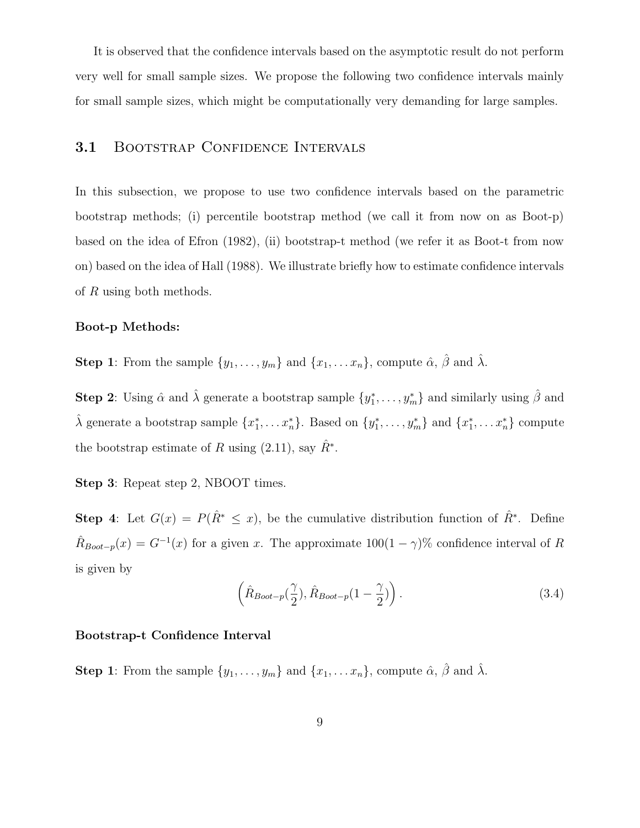It is observed that the confidence intervals based on the asymptotic result do not perform very well for small sample sizes. We propose the following two confidence intervals mainly for small sample sizes, which might be computationally very demanding for large samples.

### 3.1 BOOTSTRAP CONFIDENCE INTERVALS

In this subsection, we propose to use two confidence intervals based on the parametric bootstrap methods; (i) percentile bootstrap method (we call it from now on as Boot-p) based on the idea of Efron (1982), (ii) bootstrap-t method (we refer it as Boot-t from now on) based on the idea of Hall (1988). We illustrate briefly how to estimate confidence intervals of R using both methods.

#### Boot-p Methods:

**Step 1**: From the sample  $\{y_1, \ldots, y_m\}$  and  $\{x_1, \ldots, x_n\}$ , compute  $\hat{\alpha}$ ,  $\hat{\beta}$  and  $\hat{\lambda}$ .

**Step 2**: Using  $\hat{\alpha}$  and  $\hat{\lambda}$  generate a bootstrap sample  $\{y_1^*, \ldots, y_m^*\}$  and similarly using  $\hat{\beta}$  and  $\hat{\lambda}$  generate a bootstrap sample  $\{x_1^*, \ldots x_n^*\}$ . Based on  $\{y_1^*, \ldots, y_m^*\}$  and  $\{x_1^*, \ldots x_n^*\}$  compute the bootstrap estimate of R using  $(2.11)$ , say  $\hat{R}^*$ .

Step 3: Repeat step 2, NBOOT times.

**Step 4:** Let  $G(x) = P(\hat{R}^* \leq x)$ , be the cumulative distribution function of  $\hat{R}^*$ . Define  $\hat{R}_{\text{foot}-p}(x) = G^{-1}(x)$  for a given x. The approximate  $100(1-\gamma)\%$  confidence interval of R is given by

$$
\left(\hat{R}_{\text{Boot}-p}(\frac{\gamma}{2}), \hat{R}_{\text{boot}-p}(1-\frac{\gamma}{2})\right). \tag{3.4}
$$

#### Bootstrap-t Confidence Interval

**Step 1**: From the sample  $\{y_1, \ldots, y_m\}$  and  $\{x_1, \ldots, x_n\}$ , compute  $\hat{\alpha}$ ,  $\hat{\beta}$  and  $\hat{\lambda}$ .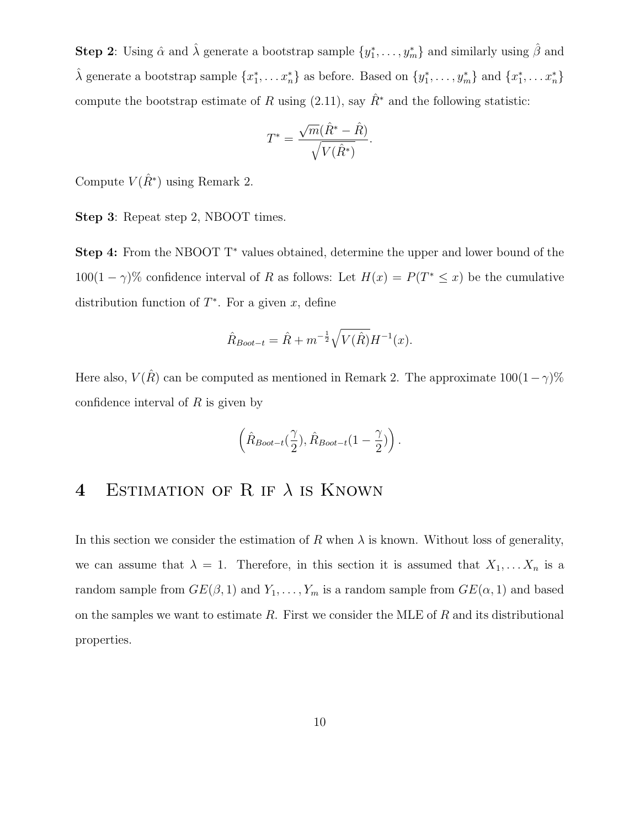**Step 2**: Using  $\hat{\alpha}$  and  $\hat{\lambda}$  generate a bootstrap sample  $\{y_1^*, \ldots, y_m^*\}$  and similarly using  $\hat{\beta}$  and  $\hat{\lambda}$  generate a bootstrap sample  $\{x_1^*, \ldots x_n^*\}$  as before. Based on  $\{y_1^*, \ldots, y_m^*\}$  and  $\{x_1^*, \ldots x_n^*\}$ compute the bootstrap estimate of R using (2.11), say  $\hat{R}^*$  and the following statistic:

$$
T^* = \frac{\sqrt{m}(\hat{R}^* - \hat{R})}{\sqrt{V(\hat{R}^*)}}.
$$

Compute  $V(\hat{R}^*)$  using Remark 2.

Step 3: Repeat step 2, NBOOT times.

Step 4: From the NBOOT T<sup>\*</sup> values obtained, determine the upper and lower bound of the  $100(1 - \gamma)$ % confidence interval of R as follows: Let  $H(x) = P(T^* \leq x)$  be the cumulative distribution function of  $T^*$ . For a given x, define

$$
\hat{R}_{Boot-t} = \hat{R} + m^{-\frac{1}{2}} \sqrt{V(\hat{R})} H^{-1}(x).
$$

Here also,  $V(\hat{R})$  can be computed as mentioned in Remark 2. The approximate  $100(1-\gamma)\%$ confidence interval of  $R$  is given by

$$
\left(\hat{R}_{\textit{Boot}-t}(\frac{\gamma}{2}),\hat{R}_{\textit{Boot}-t}(1-\frac{\gamma}{2})\right).
$$

## 4 ESTIMATION OF R IF  $\lambda$  is KNOWN

In this section we consider the estimation of R when  $\lambda$  is known. Without loss of generality, we can assume that  $\lambda = 1$ . Therefore, in this section it is assumed that  $X_1, \ldots, X_n$  is a random sample from  $GE(\beta, 1)$  and  $Y_1, \ldots, Y_m$  is a random sample from  $GE(\alpha, 1)$  and based on the samples we want to estimate  $R$ . First we consider the MLE of  $R$  and its distributional properties.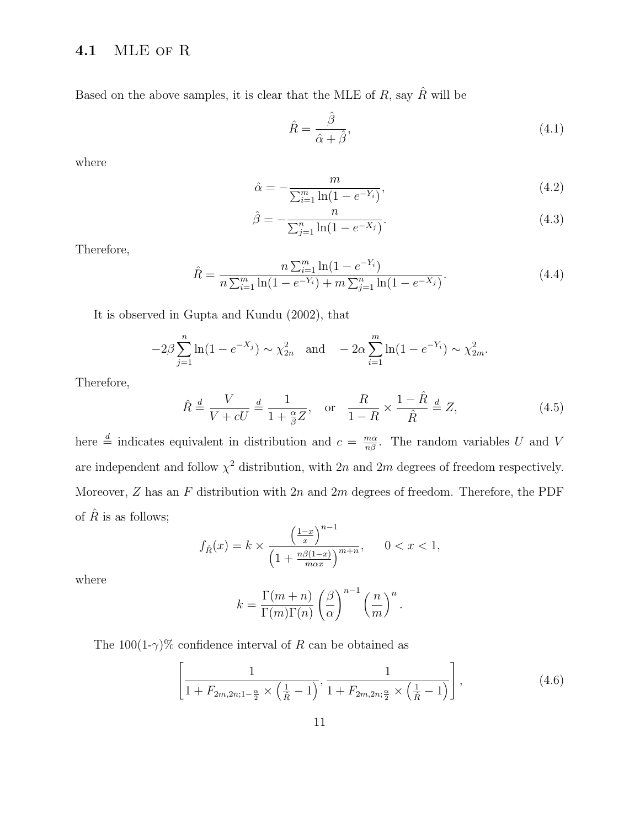### 4.1 MLE of R

Based on the above samples, it is clear that the MLE of  $R$ , say  $\hat{R}$  will be

$$
\hat{R} = \frac{\hat{\beta}}{\hat{\alpha} + \hat{\beta}},\tag{4.1}
$$

where

$$
\hat{\alpha} = -\frac{m}{\sum_{i=1}^{m} \ln(1 - e^{-Y_i})},\tag{4.2}
$$

$$
\hat{\beta} = -\frac{n}{\sum_{j=1}^{n} \ln(1 - e^{-X_j})}.
$$
\n(4.3)

Therefore,

$$
\hat{R} = \frac{n \sum_{i=1}^{m} \ln(1 - e^{-Y_i})}{n \sum_{i=1}^{m} \ln(1 - e^{-Y_i}) + m \sum_{j=1}^{n} \ln(1 - e^{-X_j})}.
$$
\n(4.4)

It is observed in Gupta and Kundu (2002), that

$$
-2\beta \sum_{j=1}^{n} \ln(1 - e^{-X_j}) \sim \chi_{2n}^2 \quad \text{and} \quad -2\alpha \sum_{i=1}^{m} \ln(1 - e^{-Y_i}) \sim \chi_{2m}^2.
$$

Therefore,

$$
\hat{R} \stackrel{d}{=} \frac{V}{V + cU} \stackrel{d}{=} \frac{1}{1 + \frac{\alpha}{\beta}Z}, \quad \text{or} \quad \frac{R}{1 - R} \times \frac{1 - \hat{R}}{\hat{R}} \stackrel{d}{=} Z,\tag{4.5}
$$

here  $\frac{d}{dx}$  indicates equivalent in distribution and  $c = \frac{m\alpha}{n\beta}$ . The random variables U and V are independent and follow  $\chi^2$  distribution, with 2n and 2m degrees of freedom respectively. Moreover,  $Z$  has an  $F$  distribution with  $2n$  and  $2m$  degrees of freedom. Therefore, the PDF of  $\hat{R}$  is as follows;

$$
f_{\hat{R}}(x) = k \times \frac{\left(\frac{1-x}{x}\right)^{n-1}}{\left(1 + \frac{n\beta(1-x)}{max}\right)^{m+n}}, \qquad 0 < x < 1,
$$

where

$$
k = \frac{\Gamma(m+n)}{\Gamma(m)\Gamma(n)} \left(\frac{\beta}{\alpha}\right)^{n-1} \left(\frac{n}{m}\right)^n.
$$

The  $100(1-\gamma)\%$  confidence interval of R can be obtained as

$$
\left[\frac{1}{1 + F_{2m,2n;1-\frac{\alpha}{2}} \times \left(\frac{1}{\hat{R}} - 1\right)}, \frac{1}{1 + F_{2m,2n;\frac{\alpha}{2}} \times \left(\frac{1}{\hat{R}} - 1\right)}\right],\tag{4.6}
$$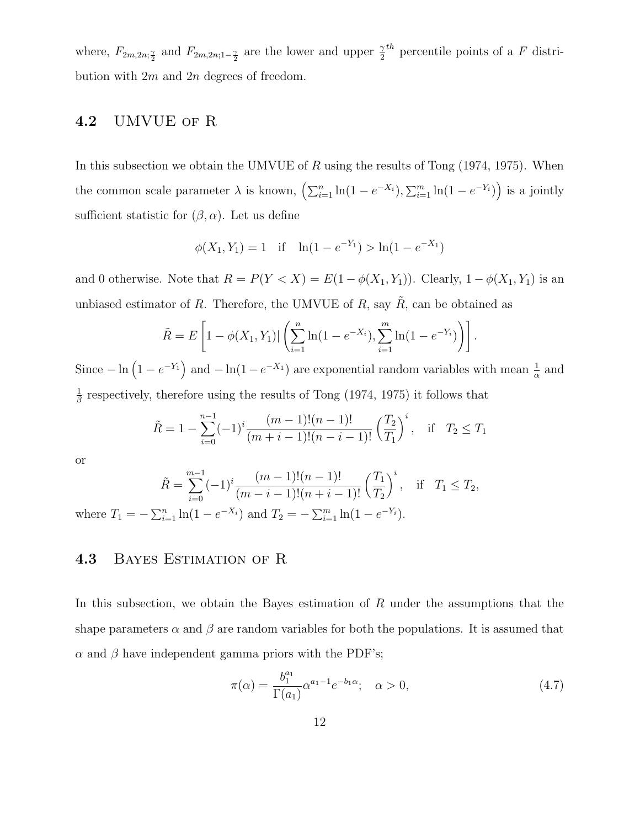where,  $F_{2m,2n;\frac{\gamma}{2}}$  and  $F_{2m,2n;1-\frac{\gamma}{2}}$  are the lower and upper  $\frac{\gamma}{2}$  $th$  percentile points of a F distribution with  $2m$  and  $2n$  degrees of freedom.

### 4.2 UMVUE of R

In this subsection we obtain the UMVUE of  $R$  using the results of Tong (1974, 1975). When the common scale parameter  $\lambda$  is known,  $\left(\sum_{i=1}^n \ln(1 - e^{-X_i}), \sum_{i=1}^m \ln(1 - e^{-Y_i})\right)$  is a jointly sufficient statistic for  $(\beta, \alpha)$ . Let us define

$$
\phi(X_1, Y_1) = 1 \quad \text{if} \quad \ln(1 - e^{-Y_1}) > \ln(1 - e^{-X_1})
$$

and 0 otherwise. Note that  $R = P(Y < X) = E(1 - \phi(X_1, Y_1))$ . Clearly,  $1 - \phi(X_1, Y_1)$  is an unbiased estimator of R. Therefore, the UMVUE of R, say  $\tilde{R}$ , can be obtained as

$$
\tilde{R} = E\left[1 - \phi(X_1, Y_1) | \left(\sum_{i=1}^n \ln(1 - e^{-X_i}), \sum_{i=1}^m \ln(1 - e^{-Y_i})\right)\right].
$$

Since  $-\ln\left(1-e^{-Y_1}\right)$  and  $-\ln(1-e^{-X_1})$  are exponential random variables with mean  $\frac{1}{\alpha}$  and 1  $\frac{1}{\beta}$  respectively, therefore using the results of Tong (1974, 1975) it follows that

$$
\tilde{R} = 1 - \sum_{i=0}^{n-1} (-1)^i \frac{(m-1)!(n-1)!}{(m+i-1)!(n-i-1)!} \left(\frac{T_2}{T_1}\right)^i, \quad \text{if} \quad T_2 \le T_1
$$

or

$$
\tilde{R} = \sum_{i=0}^{m-1} (-1)^i \frac{(m-1)!(n-1)!}{(m-i-1)!(n+i-1)!} \left(\frac{T_1}{T_2}\right)^i, \quad \text{if} \quad T_1 \le T_2,
$$
\n
$$
\sum_{i=0}^{n} \ln(1 - e^{-X_i}) \text{ and } T_2 = -\sum_{i=0}^{m-1} \ln(1 - e^{-Y_i}).
$$

where  $T_1 = -\sum_{i=1}^n \ln(1 - e^{-X_i})$  and  $T_2 = -\sum_{i=1}^m \ln(1 - e^{-Y_i}).$ 

### 4.3 Bayes Estimation of R

In this subsection, we obtain the Bayes estimation of R under the assumptions that the shape parameters  $\alpha$  and  $\beta$  are random variables for both the populations. It is assumed that  $\alpha$  and  $\beta$  have independent gamma priors with the PDF's;

$$
\pi(\alpha) = \frac{b_1^{a_1}}{\Gamma(a_1)} \alpha^{a_1 - 1} e^{-b_1 \alpha}; \quad \alpha > 0,
$$
\n(4.7)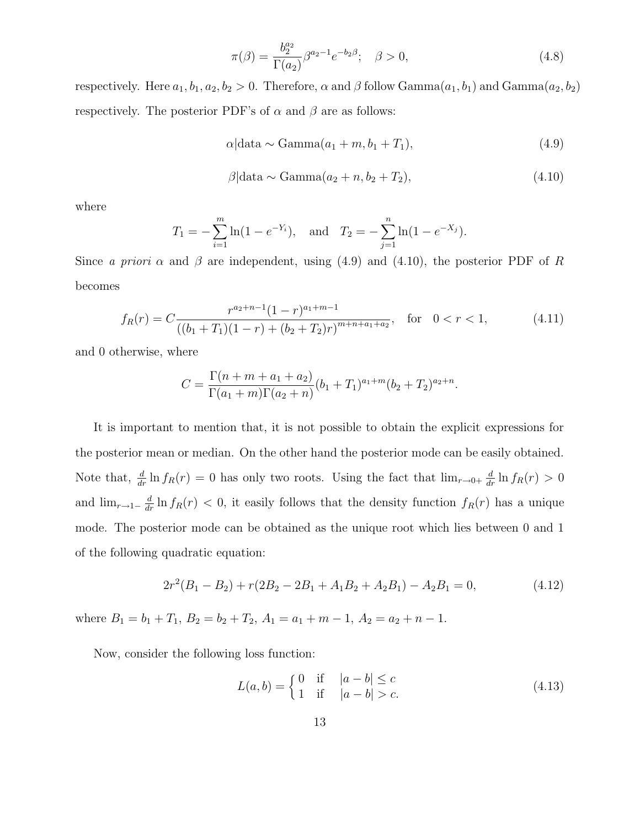$$
\pi(\beta) = \frac{b_2^{a_2}}{\Gamma(a_2)} \beta^{a_2 - 1} e^{-b_2 \beta}; \quad \beta > 0,
$$
\n(4.8)

respectively. Here  $a_1, b_1, a_2, b_2 > 0$ . Therefore,  $\alpha$  and  $\beta$  follow Gamma $(a_1, b_1)$  and Gamma $(a_2, b_2)$ respectively. The posterior PDF's of  $\alpha$  and  $\beta$  are as follows:

$$
\alpha|\text{data} \sim \text{Gamma}(a_1 + m, b_1 + T_1),\tag{4.9}
$$

$$
\beta|\text{data} \sim \text{Gamma}(a_2 + n, b_2 + T_2),\tag{4.10}
$$

where

$$
T_1 = -\sum_{i=1}^{m} \ln(1 - e^{-Y_i}),
$$
 and  $T_2 = -\sum_{j=1}^{n} \ln(1 - e^{-X_j}).$ 

Since a priori  $\alpha$  and  $\beta$  are independent, using (4.9) and (4.10), the posterior PDF of R becomes

$$
f_R(r) = C \frac{r^{a_2+n-1} (1-r)^{a_1+m-1}}{((b_1+T_1)(1-r)+(b_2+T_2)r)^{m+n+a_1+a_2}}, \quad \text{for} \quad 0 < r < 1,\tag{4.11}
$$

and 0 otherwise, where

$$
C = \frac{\Gamma(n+m+a_1+a_2)}{\Gamma(a_1+m)\Gamma(a_2+n)} (b_1+T_1)^{a_1+m} (b_2+T_2)^{a_2+n}.
$$

It is important to mention that, it is not possible to obtain the explicit expressions for the posterior mean or median. On the other hand the posterior mode can be easily obtained. Note that,  $\frac{d}{dr} \ln f_R(r) = 0$  has only two roots. Using the fact that  $\lim_{r \to 0^+} \frac{d}{dr} \ln f_R(r) > 0$ and  $\lim_{r\to 1^-} \frac{d}{dr} \ln f_R(r) < 0$ , it easily follows that the density function  $f_R(r)$  has a unique mode. The posterior mode can be obtained as the unique root which lies between 0 and 1 of the following quadratic equation:

$$
2r2(B1 - B2) + r(2B2 - 2B1 + A1B2 + A2B1) - A2B1 = 0,
$$
\n(4.12)

where  $B_1 = b_1 + T_1$ ,  $B_2 = b_2 + T_2$ ,  $A_1 = a_1 + m - 1$ ,  $A_2 = a_2 + n - 1$ .

Now, consider the following loss function:

$$
L(a, b) = \begin{cases} 0 & \text{if } |a - b| \le c \\ 1 & \text{if } |a - b| > c. \end{cases}
$$
 (4.13)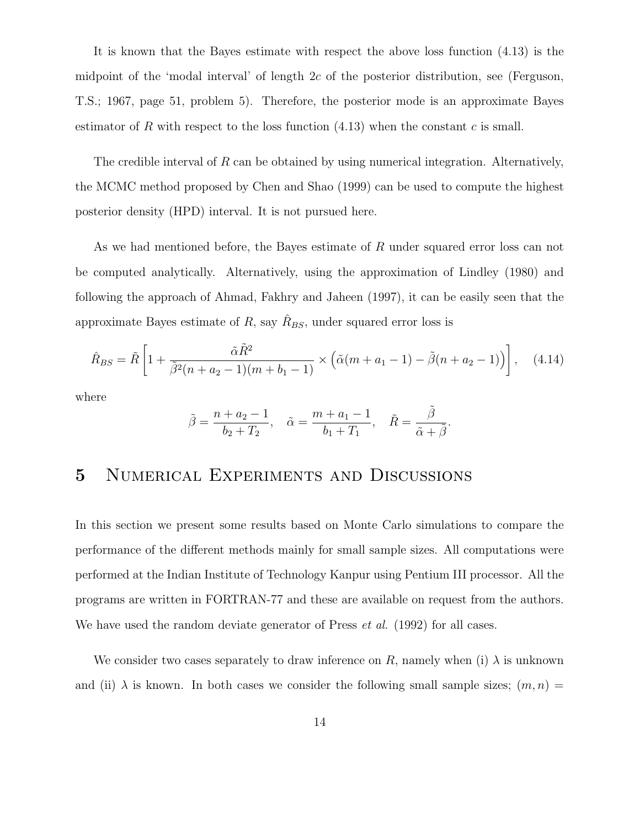It is known that the Bayes estimate with respect the above loss function (4.13) is the midpoint of the 'modal interval' of length  $2c$  of the posterior distribution, see (Ferguson, T.S.; 1967, page 51, problem 5). Therefore, the posterior mode is an approximate Bayes estimator of R with respect to the loss function  $(4.13)$  when the constant c is small.

The credible interval of  $R$  can be obtained by using numerical integration. Alternatively, the MCMC method proposed by Chen and Shao (1999) can be used to compute the highest posterior density (HPD) interval. It is not pursued here.

As we had mentioned before, the Bayes estimate of R under squared error loss can not be computed analytically. Alternatively, using the approximation of Lindley (1980) and following the approach of Ahmad, Fakhry and Jaheen (1997), it can be easily seen that the approximate Bayes estimate of R, say  $\hat{R}_{BS}$ , under squared error loss is

$$
\hat{R}_{BS} = \tilde{R} \left[ 1 + \frac{\tilde{\alpha} \tilde{R}^2}{\tilde{\beta}^2 (n + a_2 - 1)(m + b_1 - 1)} \times \left( \tilde{\alpha} (m + a_1 - 1) - \tilde{\beta} (n + a_2 - 1) \right) \right], \quad (4.14)
$$

where

$$
\tilde{\beta} = \frac{n + a_2 - 1}{b_2 + T_2}, \quad \tilde{\alpha} = \frac{m + a_1 - 1}{b_1 + T_1}, \quad \tilde{R} = \frac{\tilde{\beta}}{\tilde{\alpha} + \tilde{\beta}}.
$$

## 5 Numerical Experiments and Discussions

In this section we present some results based on Monte Carlo simulations to compare the performance of the different methods mainly for small sample sizes. All computations were performed at the Indian Institute of Technology Kanpur using Pentium III processor. All the programs are written in FORTRAN-77 and these are available on request from the authors. We have used the random deviate generator of Press *et al.* (1992) for all cases.

We consider two cases separately to draw inference on R, namely when (i)  $\lambda$  is unknown and (ii)  $\lambda$  is known. In both cases we consider the following small sample sizes;  $(m, n)$  =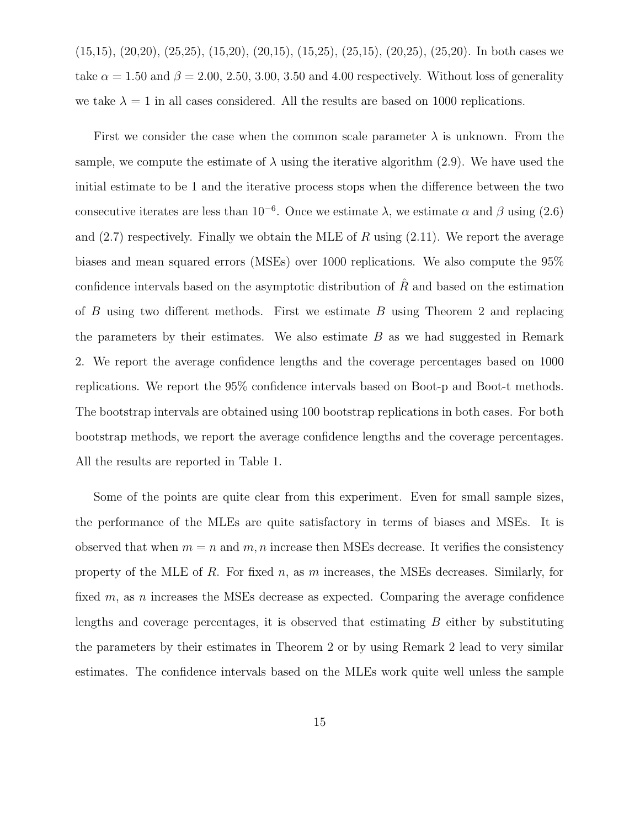(15,15), (20,20), (25,25), (15,20), (20,15), (15,25), (25,15), (20,25), (25,20). In both cases we take  $\alpha = 1.50$  and  $\beta = 2.00, 2.50, 3.00, 3.50$  and 4.00 respectively. Without loss of generality we take  $\lambda = 1$  in all cases considered. All the results are based on 1000 replications.

First we consider the case when the common scale parameter  $\lambda$  is unknown. From the sample, we compute the estimate of  $\lambda$  using the iterative algorithm (2.9). We have used the initial estimate to be 1 and the iterative process stops when the difference between the two consecutive iterates are less than  $10^{-6}$ . Once we estimate  $\lambda$ , we estimate  $\alpha$  and  $\beta$  using (2.6) and  $(2.7)$  respectively. Finally we obtain the MLE of R using  $(2.11)$ . We report the average biases and mean squared errors (MSEs) over 1000 replications. We also compute the 95% confidence intervals based on the asymptotic distribution of  $\hat{R}$  and based on the estimation of  $B$  using two different methods. First we estimate  $B$  using Theorem 2 and replacing the parameters by their estimates. We also estimate  $B$  as we had suggested in Remark 2. We report the average confidence lengths and the coverage percentages based on 1000 replications. We report the 95% confidence intervals based on Boot-p and Boot-t methods. The bootstrap intervals are obtained using 100 bootstrap replications in both cases. For both bootstrap methods, we report the average confidence lengths and the coverage percentages. All the results are reported in Table 1.

Some of the points are quite clear from this experiment. Even for small sample sizes, the performance of the MLEs are quite satisfactory in terms of biases and MSEs. It is observed that when  $m = n$  and  $m, n$  increase then MSEs decrease. It verifies the consistency property of the MLE of R. For fixed n, as m increases, the MSEs decreases. Similarly, for fixed  $m$ , as n increases the MSEs decrease as expected. Comparing the average confidence lengths and coverage percentages, it is observed that estimating  $B$  either by substituting the parameters by their estimates in Theorem 2 or by using Remark 2 lead to very similar estimates. The confidence intervals based on the MLEs work quite well unless the sample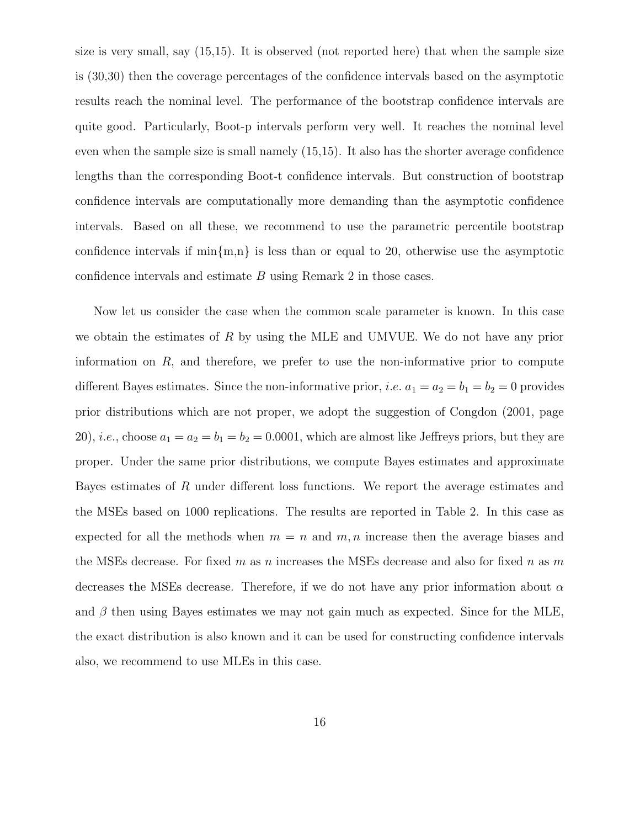size is very small, say (15,15). It is observed (not reported here) that when the sample size is (30,30) then the coverage percentages of the confidence intervals based on the asymptotic results reach the nominal level. The performance of the bootstrap confidence intervals are quite good. Particularly, Boot-p intervals perform very well. It reaches the nominal level even when the sample size is small namely (15,15). It also has the shorter average confidence lengths than the corresponding Boot-t confidence intervals. But construction of bootstrap confidence intervals are computationally more demanding than the asymptotic confidence intervals. Based on all these, we recommend to use the parametric percentile bootstrap confidence intervals if  $\min\{m,n\}$  is less than or equal to 20, otherwise use the asymptotic confidence intervals and estimate B using Remark 2 in those cases.

Now let us consider the case when the common scale parameter is known. In this case we obtain the estimates of  $R$  by using the MLE and UMVUE. We do not have any prior information on  $R$ , and therefore, we prefer to use the non-informative prior to compute different Bayes estimates. Since the non-informative prior, *i.e.*  $a_1 = a_2 = b_1 = b_2 = 0$  provides prior distributions which are not proper, we adopt the suggestion of Congdon (2001, page 20), *i.e.*, choose  $a_1 = a_2 = b_1 = b_2 = 0.0001$ , which are almost like Jeffreys priors, but they are proper. Under the same prior distributions, we compute Bayes estimates and approximate Bayes estimates of R under different loss functions. We report the average estimates and the MSEs based on 1000 replications. The results are reported in Table 2. In this case as expected for all the methods when  $m = n$  and  $m, n$  increase then the average biases and the MSEs decrease. For fixed m as n increases the MSEs decrease and also for fixed n as m decreases the MSEs decrease. Therefore, if we do not have any prior information about  $\alpha$ and  $\beta$  then using Bayes estimates we may not gain much as expected. Since for the MLE, the exact distribution is also known and it can be used for constructing confidence intervals also, we recommend to use MLEs in this case.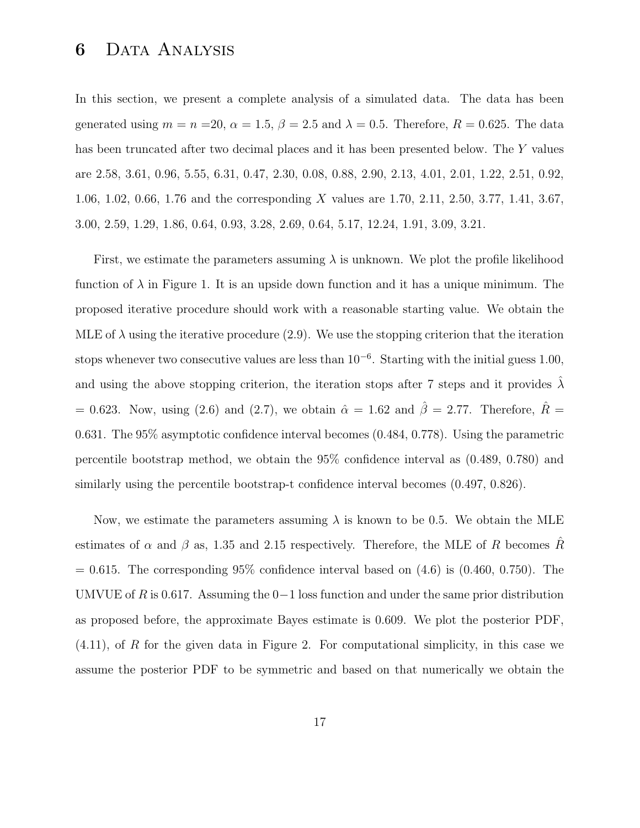## 6 Data Analysis

In this section, we present a complete analysis of a simulated data. The data has been generated using  $m = n = 20$ ,  $\alpha = 1.5$ ,  $\beta = 2.5$  and  $\lambda = 0.5$ . Therefore,  $R = 0.625$ . The data has been truncated after two decimal places and it has been presented below. The Y values are 2.58, 3.61, 0.96, 5.55, 6.31, 0.47, 2.30, 0.08, 0.88, 2.90, 2.13, 4.01, 2.01, 1.22, 2.51, 0.92, 1.06, 1.02, 0.66, 1.76 and the corresponding X values are 1.70, 2.11, 2.50, 3.77, 1.41, 3.67, 3.00, 2.59, 1.29, 1.86, 0.64, 0.93, 3.28, 2.69, 0.64, 5.17, 12.24, 1.91, 3.09, 3.21.

First, we estimate the parameters assuming  $\lambda$  is unknown. We plot the profile likelihood function of  $\lambda$  in Figure 1. It is an upside down function and it has a unique minimum. The proposed iterative procedure should work with a reasonable starting value. We obtain the MLE of  $\lambda$  using the iterative procedure (2.9). We use the stopping criterion that the iteration stops whenever two consecutive values are less than  $10^{-6}$ . Starting with the initial guess 1.00, and using the above stopping criterion, the iteration stops after 7 steps and it provides  $\lambda$ = 0.623. Now, using (2.6) and (2.7), we obtain  $\hat{\alpha} = 1.62$  and  $\hat{\beta} = 2.77$ . Therefore,  $\hat{R} =$ 0.631. The 95% asymptotic confidence interval becomes (0.484, 0.778). Using the parametric percentile bootstrap method, we obtain the 95% confidence interval as (0.489, 0.780) and similarly using the percentile bootstrap-t confidence interval becomes (0.497, 0.826).

Now, we estimate the parameters assuming  $\lambda$  is known to be 0.5. We obtain the MLE estimates of  $\alpha$  and  $\beta$  as, 1.35 and 2.15 respectively. Therefore, the MLE of R becomes R  $= 0.615$ . The corresponding 95% confidence interval based on  $(4.6)$  is  $(0.460, 0.750)$ . The UMVUE of R is 0.617. Assuming the  $0-1$  loss function and under the same prior distribution as proposed before, the approximate Bayes estimate is 0.609. We plot the posterior PDF,  $(4.11)$ , of R for the given data in Figure 2. For computational simplicity, in this case we assume the posterior PDF to be symmetric and based on that numerically we obtain the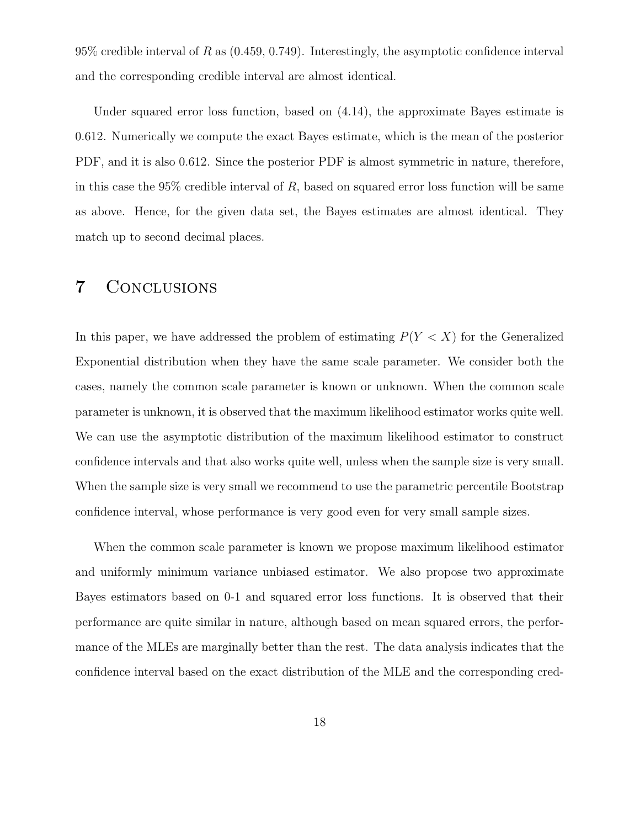$95\%$  credible interval of R as  $(0.459, 0.749)$ . Interestingly, the asymptotic confidence interval and the corresponding credible interval are almost identical.

Under squared error loss function, based on (4.14), the approximate Bayes estimate is 0.612. Numerically we compute the exact Bayes estimate, which is the mean of the posterior PDF, and it is also 0.612. Since the posterior PDF is almost symmetric in nature, therefore, in this case the  $95\%$  credible interval of R, based on squared error loss function will be same as above. Hence, for the given data set, the Bayes estimates are almost identical. They match up to second decimal places.

### 7 Conclusions

In this paper, we have addressed the problem of estimating  $P(Y < X)$  for the Generalized Exponential distribution when they have the same scale parameter. We consider both the cases, namely the common scale parameter is known or unknown. When the common scale parameter is unknown, it is observed that the maximum likelihood estimator works quite well. We can use the asymptotic distribution of the maximum likelihood estimator to construct confidence intervals and that also works quite well, unless when the sample size is very small. When the sample size is very small we recommend to use the parametric percentile Bootstrap confidence interval, whose performance is very good even for very small sample sizes.

When the common scale parameter is known we propose maximum likelihood estimator and uniformly minimum variance unbiased estimator. We also propose two approximate Bayes estimators based on 0-1 and squared error loss functions. It is observed that their performance are quite similar in nature, although based on mean squared errors, the performance of the MLEs are marginally better than the rest. The data analysis indicates that the confidence interval based on the exact distribution of the MLE and the corresponding cred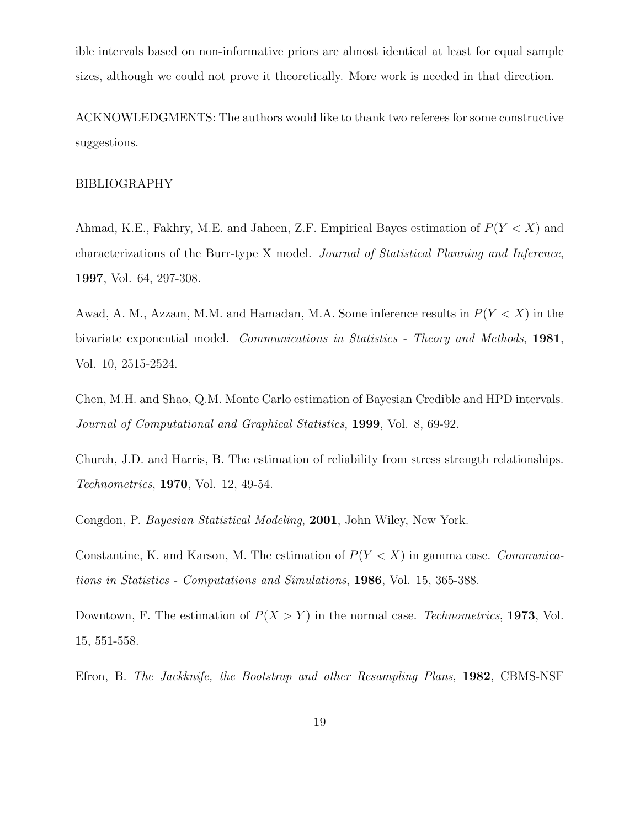ible intervals based on non-informative priors are almost identical at least for equal sample sizes, although we could not prove it theoretically. More work is needed in that direction.

ACKNOWLEDGMENTS: The authors would like to thank two referees for some constructive suggestions.

#### BIBLIOGRAPHY

Ahmad, K.E., Fakhry, M.E. and Jaheen, Z.F. Empirical Bayes estimation of  $P(Y < X)$  and characterizations of the Burr-type X model. Journal of Statistical Planning and Inference, 1997, Vol. 64, 297-308.

Awad, A. M., Azzam, M.M. and Hamadan, M.A. Some inference results in  $P(Y < X)$  in the bivariate exponential model. Communications in Statistics - Theory and Methods, 1981, Vol. 10, 2515-2524.

Chen, M.H. and Shao, Q.M. Monte Carlo estimation of Bayesian Credible and HPD intervals. Journal of Computational and Graphical Statistics, 1999, Vol. 8, 69-92.

Church, J.D. and Harris, B. The estimation of reliability from stress strength relationships. Technometrics, 1970, Vol. 12, 49-54.

Congdon, P. Bayesian Statistical Modeling, 2001, John Wiley, New York.

Constantine, K. and Karson, M. The estimation of  $P(Y < X)$  in gamma case. Communications in Statistics - Computations and Simulations, 1986, Vol. 15, 365-388.

Downtown, F. The estimation of  $P(X > Y)$  in the normal case. Technometrics, 1973, Vol. 15, 551-558.

Efron, B. The Jackknife, the Bootstrap and other Resampling Plans, 1982, CBMS-NSF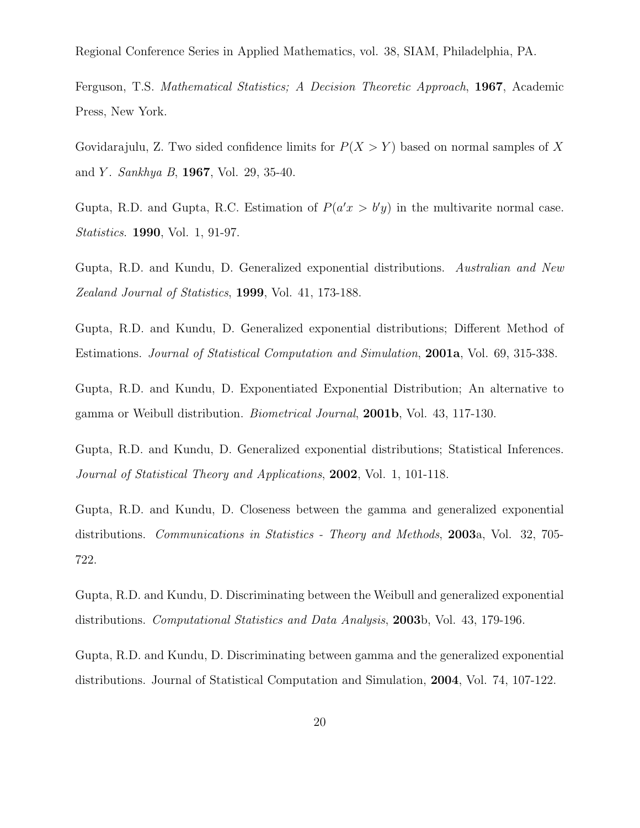Regional Conference Series in Applied Mathematics, vol. 38, SIAM, Philadelphia, PA.

Ferguson, T.S. Mathematical Statistics; A Decision Theoretic Approach, 1967, Academic Press, New York.

Govidarajulu, Z. Two sided confidence limits for  $P(X > Y)$  based on normal samples of X and *Y*. *Sankhya B*, **1967**, Vol. 29, 35-40.

Gupta, R.D. and Gupta, R.C. Estimation of  $P(a'x > b'y)$  in the multivarite normal case. Statistics. 1990, Vol. 1, 91-97.

Gupta, R.D. and Kundu, D. Generalized exponential distributions. Australian and New Zealand Journal of Statistics, 1999, Vol. 41, 173-188.

Gupta, R.D. and Kundu, D. Generalized exponential distributions; Different Method of Estimations. Journal of Statistical Computation and Simulation, 2001a, Vol. 69, 315-338.

Gupta, R.D. and Kundu, D. Exponentiated Exponential Distribution; An alternative to gamma or Weibull distribution. Biometrical Journal, 2001b, Vol. 43, 117-130.

Gupta, R.D. and Kundu, D. Generalized exponential distributions; Statistical Inferences. Journal of Statistical Theory and Applications, 2002, Vol. 1, 101-118.

Gupta, R.D. and Kundu, D. Closeness between the gamma and generalized exponential distributions. Communications in Statistics - Theory and Methods, 2003a, Vol. 32, 705-722.

Gupta, R.D. and Kundu, D. Discriminating between the Weibull and generalized exponential distributions. Computational Statistics and Data Analysis, 2003b, Vol. 43, 179-196.

Gupta, R.D. and Kundu, D. Discriminating between gamma and the generalized exponential distributions. Journal of Statistical Computation and Simulation, 2004, Vol. 74, 107-122.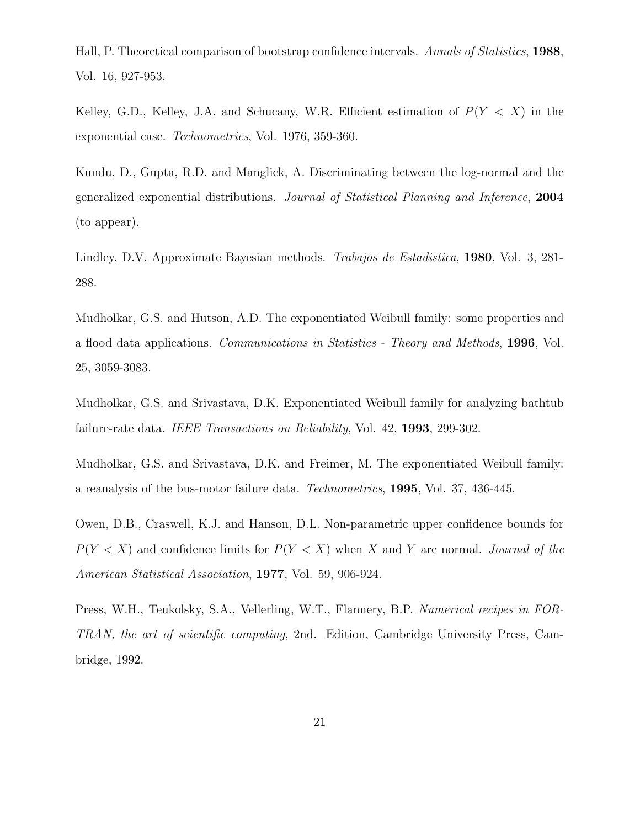Hall, P. Theoretical comparison of bootstrap confidence intervals. Annals of Statistics, 1988, Vol. 16, 927-953.

Kelley, G.D., Kelley, J.A. and Schucany, W.R. Efficient estimation of  $P(Y < X)$  in the exponential case. Technometrics, Vol. 1976, 359-360.

Kundu, D., Gupta, R.D. and Manglick, A. Discriminating between the log-normal and the generalized exponential distributions. Journal of Statistical Planning and Inference, 2004 (to appear).

Lindley, D.V. Approximate Bayesian methods. Trabajos de Estadistica, 1980, Vol. 3, 281- 288.

Mudholkar, G.S. and Hutson, A.D. The exponentiated Weibull family: some properties and a flood data applications. Communications in Statistics - Theory and Methods, 1996, Vol. 25, 3059-3083.

Mudholkar, G.S. and Srivastava, D.K. Exponentiated Weibull family for analyzing bathtub failure-rate data. IEEE Transactions on Reliability, Vol. 42, 1993, 299-302.

Mudholkar, G.S. and Srivastava, D.K. and Freimer, M. The exponentiated Weibull family: a reanalysis of the bus-motor failure data. Technometrics, 1995, Vol. 37, 436-445.

Owen, D.B., Craswell, K.J. and Hanson, D.L. Non-parametric upper confidence bounds for  $P(Y < X)$  and confidence limits for  $P(Y < X)$  when X and Y are normal. Journal of the American Statistical Association, 1977, Vol. 59, 906-924.

Press, W.H., Teukolsky, S.A., Vellerling, W.T., Flannery, B.P. Numerical recipes in FOR-TRAN, the art of scientific computing, 2nd. Edition, Cambridge University Press, Cambridge, 1992.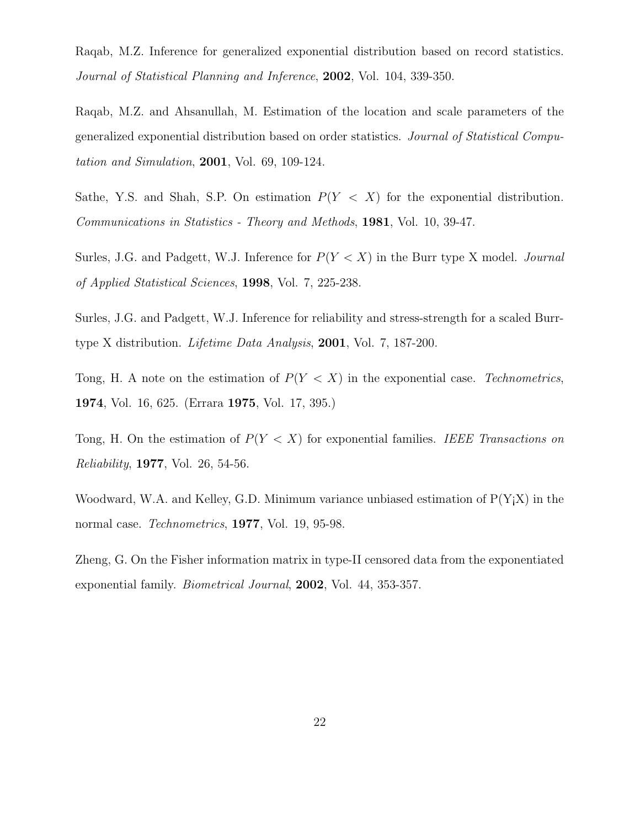Raqab, M.Z. Inference for generalized exponential distribution based on record statistics. Journal of Statistical Planning and Inference, 2002, Vol. 104, 339-350.

Raqab, M.Z. and Ahsanullah, M. Estimation of the location and scale parameters of the generalized exponential distribution based on order statistics. Journal of Statistical Computation and Simulation, 2001, Vol. 69, 109-124.

Sathe, Y.S. and Shah, S.P. On estimation  $P(Y \leq X)$  for the exponential distribution. Communications in Statistics - Theory and Methods, 1981, Vol. 10, 39-47.

Surles, J.G. and Padgett, W.J. Inference for  $P(Y < X)$  in the Burr type X model. Journal of Applied Statistical Sciences, 1998, Vol. 7, 225-238.

Surles, J.G. and Padgett, W.J. Inference for reliability and stress-strength for a scaled Burrtype X distribution. Lifetime Data Analysis, 2001, Vol. 7, 187-200.

Tong, H. A note on the estimation of  $P(Y < X)$  in the exponential case. Technometrics, 1974, Vol. 16, 625. (Errara 1975, Vol. 17, 395.)

Tong, H. On the estimation of  $P(Y < X)$  for exponential families. IEEE Transactions on Reliability, 1977, Vol. 26, 54-56.

Woodward, W.A. and Kelley, G.D. Minimum variance unbiased estimation of  $P(Y|X)$  in the normal case. *Technometrics*, **1977**, Vol. 19, 95-98.

Zheng, G. On the Fisher information matrix in type-II censored data from the exponentiated exponential family. Biometrical Journal, 2002, Vol. 44, 353-357.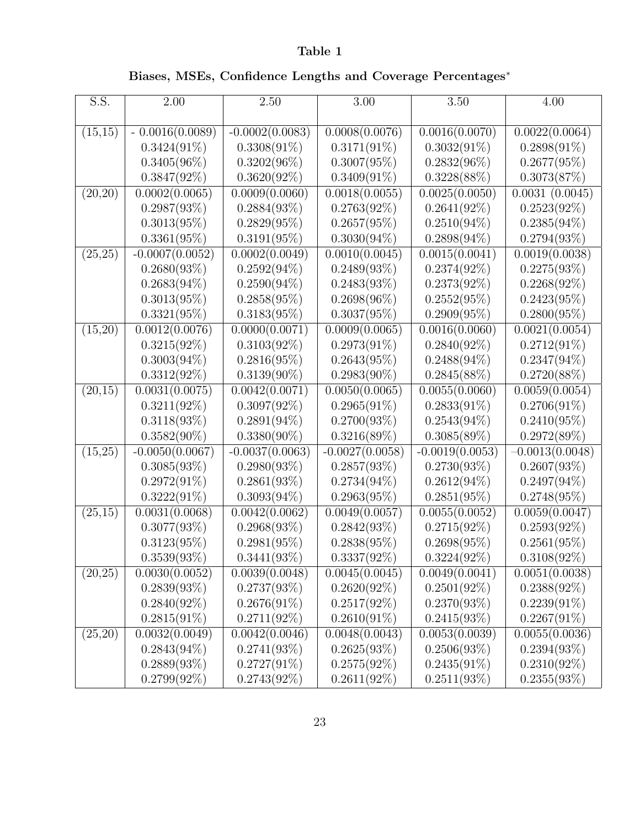## Table 1

# Biases, MSEs, Confidence Lengths and Coverage Percentages<sup>∗</sup>

| S.S.    | $\overline{2}.00$ | 2.50              | 3.00              | 3.50              | 4.00              |
|---------|-------------------|-------------------|-------------------|-------------------|-------------------|
|         |                   |                   |                   |                   |                   |
| (15,15) | $-0.0016(0.0089)$ | $-0.0002(0.0083)$ | 0.0008(0.0076)    | 0.0016(0.0070)    | 0.0022(0.0064)    |
|         | $0.3424(91\%)$    | $0.3308(91\%)$    | $0.3171(91\%)$    | $0.3032(91\%)$    | $0.2898(91\%)$    |
|         | $0.3405(96\%)$    | $0.3202(96\%)$    | $0.3007(95\%)$    | $0.2832(96\%)$    | $0.2677(95\%)$    |
|         | $0.3847(92\%)$    | $0.3620(92\%)$    | $0.3409(91\%)$    | $0.3228(88\%)$    | 0.3073(87%)       |
| (20,20) | 0.0002(0.0065)    | 0.0009(0.0060)    | 0.0018(0.0055)    | 0.0025(0.0050)    | 0.0031(0.0045)    |
|         | 0.2987(93%)       | 0.2884(93%)       | $0.2763(92\%)$    | $0.2641(92\%)$    | $0.2523(92\%)$    |
|         | $0.3013(95\%)$    | $0.2829(95\%)$    | $0.2657(95\%)$    | $0.2510(94\%)$    | $0.2385(94\%)$    |
|         | $0.3361(95\%)$    | $0.3191(95\%)$    | $0.3030(94\%)$    | $0.2898(94\%)$    | $0.2794(93\%)$    |
| (25,25) | $-0.0007(0.0052)$ | 0.0002(0.0049)    | 0.0010(0.0045)    | 0.0015(0.0041)    | 0.0019(0.0038)    |
|         | $0.2680(93\%)$    | $0.2592(94\%)$    | $0.2489(93\%)$    | $0.2374(92\%)$    | 0.2275(93%)       |
|         | $0.2683(94\%)$    | $0.2590(94\%)$    | $0.2483(93\%)$    | $0.2373(92\%)$    | $0.2268(92\%)$    |
|         | $0.3013(95\%)$    | $0.2858(95\%)$    | $0.2698(96\%)$    | $0.2552(95\%)$    | $0.2423(95\%)$    |
|         | $0.3321(95\%)$    | $0.3183(95\%)$    | $0.3037(95\%)$    | $0.2909(95\%)$    | $0.2800(95\%)$    |
| (15,20) | 0.0012(0.0076)    | 0.0000(0.0071)    | 0.0009(0.0065)    | 0.0016(0.0060)    | 0.0021(0.0054)    |
|         | $0.3215(92\%)$    | $0.3103(92\%)$    | $0.2973(91\%)$    | $0.2840(92\%)$    | $0.2712(91\%)$    |
|         | $0.3003(94\%)$    | $0.2816(95\%)$    | $0.2643(95\%)$    | $0.2488(94\%)$    | $0.2347(94\%)$    |
|         | $0.3312(92\%)$    | $0.3139(90\%)$    | $0.2983(90\%)$    | 0.2845(88%)       | 0.2720(88%)       |
| (20,15) | 0.0031(0.0075)    | 0.0042(0.0071)    | 0.0050(0.0065)    | 0.0055(0.0060)    | 0.0059(0.0054)    |
|         | $0.3211(92\%)$    | $0.3097(92\%)$    | $0.2965(91\%)$    | $0.2833(91\%)$    | $0.2706(91\%)$    |
|         | $0.3118(93\%)$    | $0.2891(94\%)$    | $0.2700(93\%)$    | $0.2543(94\%)$    | $0.2410(95\%)$    |
|         | $0.3582(90\%)$    | $0.3380(90\%)$    | $0.3216(89\%)$    | $0.3085(89\%)$    | 0.2972(89%)       |
| (15,25) | $-0.0050(0.0067)$ | $-0.0037(0.0063)$ | $-0.0027(0.0058)$ | $-0.0019(0.0053)$ | $-0.0013(0.0048)$ |
|         | $0.3085(93\%)$    | $0.2980(93\%)$    | $0.2857(93\%)$    | $0.2730(93\%)$    | 0.2607(93%)       |
|         | $0.2972(91\%)$    | 0.2861(93%)       | $0.2734(94\%)$    | $0.2612(94\%)$    | $0.2497(94\%)$    |
|         | $0.3222(91\%)$    | $0.3093(94\%)$    | 0.2963(95%)       | $0.2851(95\%)$    | $0.2748(95\%)$    |
| (25,15) | 0.0031(0.0068)    | 0.0042(0.0062)    | 0.0049(0.0057)    | 0.0055(0.0052)    | 0.0059(0.0047)    |
|         | $0.3077(93\%)$    | 0.2968(93%)       | $0.2842(93\%)$    | $0.2715(92\%)$    | $0.2593(92\%)$    |
|         | $0.3123(95\%)$    | $0.2981(95\%)$    | $0.2838(95\%)$    | $0.2698(95\%)$    | 0.2561(95%)       |
|         | $0.3539(93\%)$    | 0.3441(93%)       | $0.3337(92\%)$    | $0.3224(92\%)$    | $0.3108(92\%)$    |
| (20,25) | 0.0030(0.0052)    | 0.0039(0.0048)    | 0.0045(0.0045)    | 0.0049(0.0041)    | 0.0051(0.0038)    |
|         | $0.2839(93\%)$    | 0.2737(93%)       | $0.2620(92\%)$    | $0.2501(92\%)$    | $0.2388(92\%)$    |
|         | $0.2840(92\%)$    | $0.2676(91\%)$    | $0.2517(92\%)$    | $0.2370(93\%)$    | $0.2239(91\%)$    |
|         | $0.2815(91\%)$    | $0.2711(92\%)$    | $0.2610(91\%)$    | $0.2415(93\%)$    | $0.2267(91\%)$    |
| (25,20) | 0.0032(0.0049)    | 0.0042(0.0046)    | 0.0048(0.0043)    | 0.0053(0.0039)    | 0.0055(0.0036)    |
|         | $0.2843(94\%)$    | $0.2741(93\%)$    | 0.2625(93%)       | $0.2506(93\%)$    | $0.2394(93\%)$    |
|         | $0.2889(93\%)$    | $0.2727(91\%)$    | $0.2575(92\%)$    | $0.2435(91\%)$    | $0.2310(92\%)$    |
|         | $0.2799(92\%)$    | $0.2743(92\%)$    | 0.2611(92%)       | 0.2511(93%)       | 0.2355(93%)       |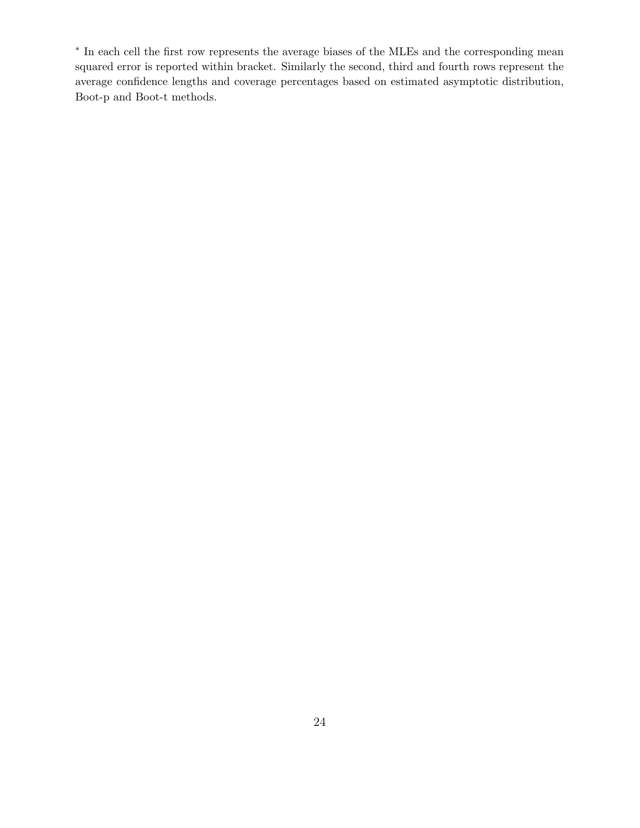∗ In each cell the first row represents the average biases of the MLEs and the corresponding mean squared error is reported within bracket. Similarly the second, third and fourth rows represent the average confidence lengths and coverage percentages based on estimated asymptotic distribution, Boot-p and Boot-t methods.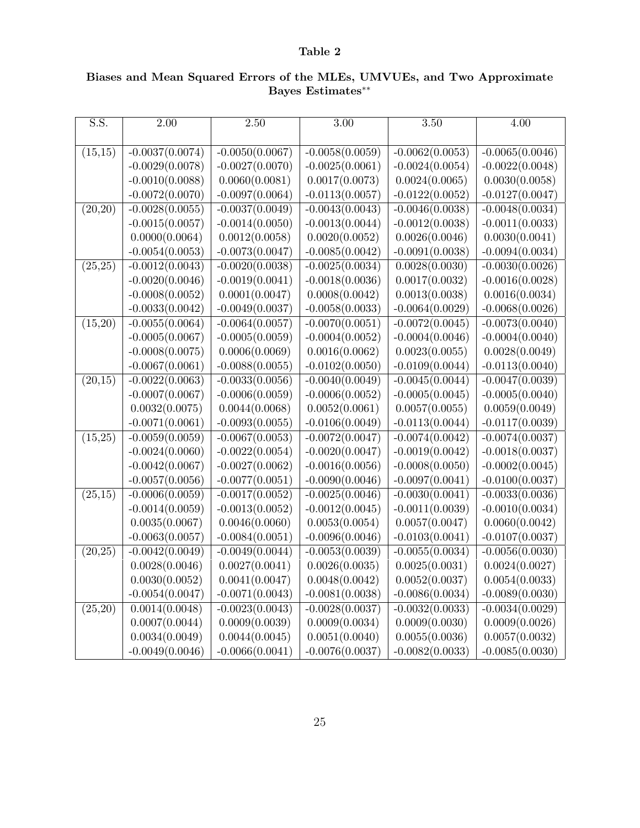#### Table 2

| $\overline{S.S.}$ | 2.00              | 2.50              | 3.00              | 3.50              | 4.00              |
|-------------------|-------------------|-------------------|-------------------|-------------------|-------------------|
|                   |                   |                   |                   |                   |                   |
| (15, 15)          | $-0.0037(0.0074)$ | $-0.0050(0.0067)$ | $-0.0058(0.0059)$ | $-0.0062(0.0053)$ | $-0.0065(0.0046)$ |
|                   | $-0.0029(0.0078)$ | $-0.0027(0.0070)$ | $-0.0025(0.0061)$ | $-0.0024(0.0054)$ | $-0.0022(0.0048)$ |
|                   | $-0.0010(0.0088)$ | 0.0060(0.0081)    | 0.0017(0.0073)    | 0.0024(0.0065)    | 0.0030(0.0058)    |
|                   | $-0.0072(0.0070)$ | $-0.0097(0.0064)$ | $-0.0113(0.0057)$ | $-0.0122(0.0052)$ | $-0.0127(0.0047)$ |
| (20, 20)          | $-0.0028(0.0055)$ | $-0.0037(0.0049)$ | $-0.0043(0.0043)$ | $-0.0046(0.0038)$ | $-0.0048(0.0034)$ |
|                   | $-0.0015(0.0057)$ | $-0.0014(0.0050)$ | $-0.0013(0.0044)$ | $-0.0012(0.0038)$ | $-0.0011(0.0033)$ |
|                   | 0.0000(0.0064)    | 0.0012(0.0058)    | 0.0020(0.0052)    | 0.0026(0.0046)    | 0.0030(0.0041)    |
|                   | $-0.0054(0.0053)$ | $-0.0073(0.0047)$ | $-0.0085(0.0042)$ | $-0.0091(0.0038)$ | $-0.0094(0.0034)$ |
| (25, 25)          | $-0.0012(0.0043)$ | $-0.0020(0.0038)$ | $-0.0025(0.0034)$ | 0.0028(0.0030)    | $-0.0030(0.0026)$ |
|                   | $-0.0020(0.0046)$ | $-0.0019(0.0041)$ | $-0.0018(0.0036)$ | 0.0017(0.0032)    | $-0.0016(0.0028)$ |
|                   | $-0.0008(0.0052)$ | 0.0001(0.0047)    | 0.0008(0.0042)    | 0.0013(0.0038)    | 0.0016(0.0034)    |
|                   | $-0.0033(0.0042)$ | $-0.0049(0.0037)$ | $-0.0058(0.0033)$ | $-0.0064(0.0029)$ | $-0.0068(0.0026)$ |
| (15,20)           | $-0.0055(0.0064)$ | $-0.0064(0.0057)$ | $-0.0070(0.0051)$ | $-0.0072(0.0045)$ | $-0.0073(0.0040)$ |
|                   | $-0.0005(0.0067)$ | $-0.0005(0.0059)$ | $-0.0004(0.0052)$ | $-0.0004(0.0046)$ | $-0.0004(0.0040)$ |
|                   | $-0.0008(0.0075)$ | 0.0006(0.0069)    | 0.0016(0.0062)    | 0.0023(0.0055)    | 0.0028(0.0049)    |
|                   | $-0.0067(0.0061)$ | $-0.0088(0.0055)$ | $-0.0102(0.0050)$ | $-0.0109(0.0044)$ | $-0.0113(0.0040)$ |
| (20,15)           | $-0.0022(0.0063)$ | $-0.0033(0.0056)$ | $-0.0040(0.0049)$ | $-0.0045(0.0044)$ | $-0.0047(0.0039)$ |
|                   | $-0.0007(0.0067)$ | $-0.0006(0.0059)$ | $-0.0006(0.0052)$ | $-0.0005(0.0045)$ | $-0.0005(0.0040)$ |
|                   | 0.0032(0.0075)    | 0.0044(0.0068)    | 0.0052(0.0061)    | 0.0057(0.0055)    | 0.0059(0.0049)    |
|                   | $-0.0071(0.0061)$ | $-0.0093(0.0055)$ | $-0.0106(0.0049)$ | $-0.0113(0.0044)$ | $-0.0117(0.0039)$ |
| (15,25)           | $-0.0059(0.0059)$ | $-0.0067(0.0053)$ | $-0.0072(0.0047)$ | $-0.0074(0.0042)$ | $-0.0074(0.0037)$ |
|                   | $-0.0024(0.0060)$ | $-0.0022(0.0054)$ | $-0.0020(0.0047)$ | $-0.0019(0.0042)$ | $-0.0018(0.0037)$ |
|                   | $-0.0042(0.0067)$ | $-0.0027(0.0062)$ | $-0.0016(0.0056)$ | $-0.0008(0.0050)$ | $-0.0002(0.0045)$ |
|                   | $-0.0057(0.0056)$ | $-0.0077(0.0051)$ | $-0.0090(0.0046)$ | $-0.0097(0.0041)$ | $-0.0100(0.0037)$ |
| (25,15)           | $-0.0006(0.0059)$ | $-0.0017(0.0052)$ | $-0.0025(0.0046)$ | $-0.0030(0.0041)$ | $-0.0033(0.0036)$ |
|                   | $-0.0014(0.0059)$ | $-0.0013(0.0052)$ | $-0.0012(0.0045)$ | $-0.0011(0.0039)$ | $-0.0010(0.0034)$ |
|                   | 0.0035(0.0067)    | 0.0046(0.0060)    | 0.0053(0.0054)    | 0.0057(0.0047)    | 0.0060(0.0042)    |
|                   | $-0.0063(0.0057)$ | $-0.0084(0.0051)$ | $-0.0096(0.0046)$ | $-0.0103(0.0041)$ | $-0.0107(0.0037)$ |
| (20, 25)          | $-0.0042(0.0049)$ | $-0.0049(0.0044)$ | $-0.0053(0.0039)$ | $-0.0055(0.0034)$ | $-0.0056(0.0030)$ |
|                   | 0.0028(0.0046)    | 0.0027(0.0041)    | 0.0026(0.0035)    | 0.0025(0.0031)    | 0.0024(0.0027)    |
|                   | 0.0030(0.0052)    | 0.0041(0.0047)    | 0.0048(0.0042)    | 0.0052(0.0037)    | 0.0054(0.0033)    |
|                   | $-0.0054(0.0047)$ | $-0.0071(0.0043)$ | $-0.0081(0.0038)$ | $-0.0086(0.0034)$ | $-0.0089(0.0030)$ |
| (25,20)           | 0.0014(0.0048)    | $-0.0023(0.0043)$ | $-0.0028(0.0037)$ | $-0.0032(0.0033)$ | $-0.0034(0.0029)$ |
|                   | 0.0007(0.0044)    | 0.0009(0.0039)    | 0.0009(0.0034)    | 0.0009(0.0030)    | 0.0009(0.0026)    |
|                   | 0.0034(0.0049)    | 0.0044(0.0045)    | 0.0051(0.0040)    | 0.0055(0.0036)    | 0.0057(0.0032)    |
|                   | $-0.0049(0.0046)$ | $-0.0066(0.0041)$ | $-0.0076(0.0037)$ | $-0.0082(0.0033)$ | $-0.0085(0.0030)$ |

### Biases and Mean Squared Errors of the MLEs, UMVUEs, and Two Approximate Bayes Estimates∗∗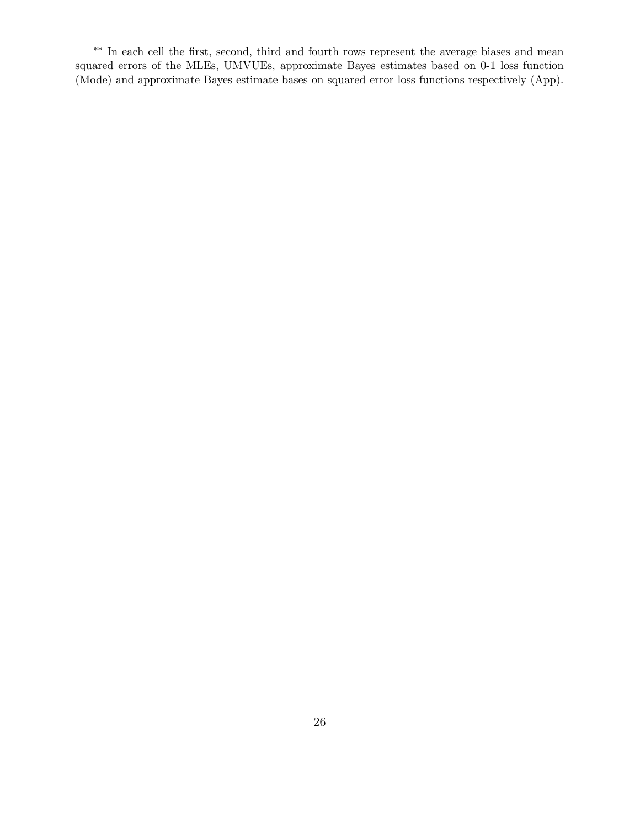∗∗ In each cell the first, second, third and fourth rows represent the average biases and mean squared errors of the MLEs, UMVUEs, approximate Bayes estimates based on 0-1 loss function (Mode) and approximate Bayes estimate bases on squared error loss functions respectively (App).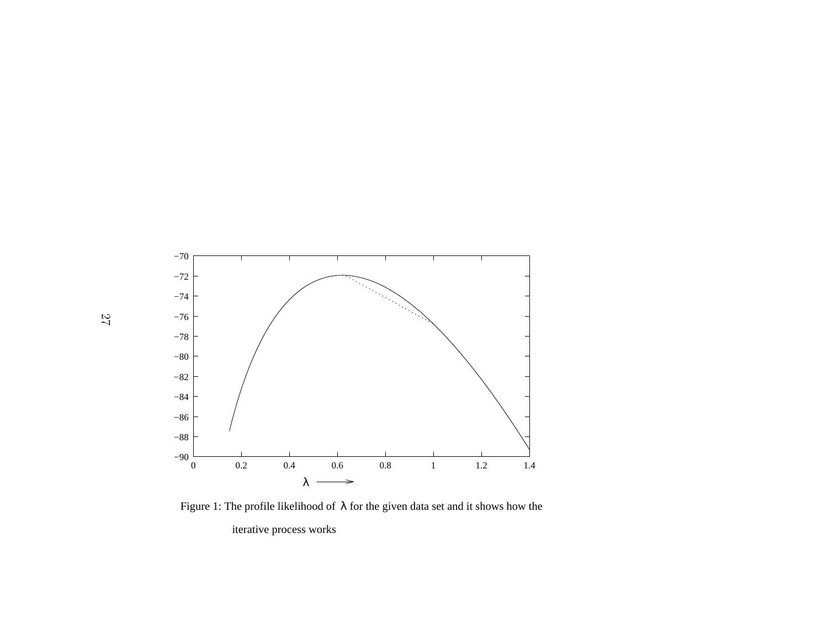

Figure 1: The profile likelihood of  $\lambda$  for the given data set and it shows how the iterative process works